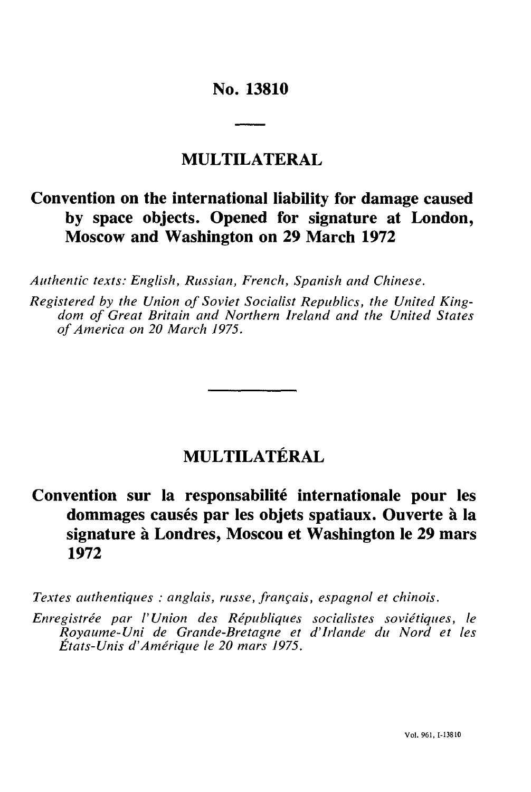# **No. 13810**

# **MULTILATERAL**

# **Convention on the international liability for damage caused by space objects. Opened for signature at London, Moscow and Washington on 29 March 1972**

*Authentic texts: English, Russian, French, Spanish and Chinese.*

*Registered by the Union of Soviet Socialist Republics, the United King dom of Great Britain and Northern Ireland and the United States of America on 20 March 1975.*

# **MULTILATERAL**

# **Convention sur la responsabilité internationale pour les dommages causés par les objets spatiaux. Ouverte à la signature à Londres, Moscou et Washington le 29 mars 1972**

*Textes authentiques : anglais, russe, français, espagnol et chinois.*

*Enregistrée par l'Union des Républiques socialistes soviétiques, le Royaume-Uni de Grande-Bretagne et d'Irlande du Nord et les États-Unis d'Amérique le 20 mars 1975.*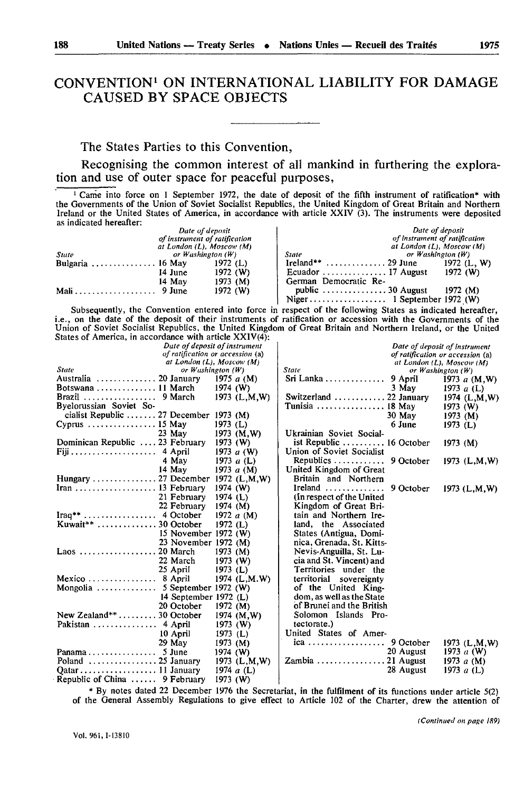# CONVENTION1 ON INTERNATIONAL LIABILITY FOR DAMAGE CAUSED BY SPACE OBJECTS

### The States Parties to this Convention,

Recognising the common interest of all mankind in furthering the explora tion and use of outer space for peaceful purposes,

' Came into force on 1 September 1972, the date of deposit of the fifth instrument of ratification\* with the Governments of the Union of Soviet Socialist Republics, the United Kingdom of Great Britain and Northern Ireland or the United States of America, in accordance with article XXIV (3), The instruments were deposited as indicated hereafter:

|                  |          | Date of deposit<br>of instrument of ratification<br>at London (L), Moscow (M) |                     |
|------------------|----------|-------------------------------------------------------------------------------|---------------------|
| State            |          | or Washington $(W)$                                                           | <b>State</b>        |
| Bulgaria  16 May |          | 1972 $(L)$                                                                    | Ireland** $\dots$ . |
|                  | 14 June  | 1972 $(W)$                                                                    | Ecuador             |
|                  | $14$ May | $1973$ (M)                                                                    | German Democi       |
|                  |          | $1972$ (W)                                                                    | $public \ldots$     |
|                  |          |                                                                               | Niger               |

|                                    | Date of deposit<br>of instrument of ratification |                           |  |  |  |
|------------------------------------|--------------------------------------------------|---------------------------|--|--|--|
|                                    |                                                  | at London (L), Moscow (M) |  |  |  |
| State                              |                                                  | or Washington (W)         |  |  |  |
|                                    |                                                  |                           |  |  |  |
| Ecuador  17 August 1972 (W)        |                                                  |                           |  |  |  |
| German Democratic Re-              |                                                  |                           |  |  |  |
| public $\ldots$ 30 August 1972 (M) |                                                  |                           |  |  |  |
|                                    |                                                  |                           |  |  |  |

 $S$ ubsequently, the Convention entered into force in respect of the following States as indicated hereafter,<br>Subsequently, the Convention entered into force in respect of the following States as indicated hereafter, i.e., on the date of the deposit of their instruments of ratification or accession with the Governments of the Union of Soviet Socialist Republics, the United Kingdom of Great Britain and Northern Ireland, or the United States of America, in accordance with article XXIV(4):

| Date of deposit of instrument<br>of ratification or accession (a)<br>at London (L), Moscow (M) |                         |                | Date of deposit of instrument<br>of ratification or accession (a)<br>at London (L), Moscow (M) |                   |                 |  |
|------------------------------------------------------------------------------------------------|-------------------------|----------------|------------------------------------------------------------------------------------------------|-------------------|-----------------|--|
| <b>State</b>                                                                                   | or Washington $(W)$     |                |                                                                                                | or Washington (W) |                 |  |
| Australia  20 January                                                                          |                         | 1975 $a(M)$    | State or i<br>Sri Lanka 9 April                                                                |                   | 1973 a $(M, W)$ |  |
| Botswana  11 March                                                                             |                         | 1974 (W)       |                                                                                                | $3$ May           | 1973 $a$ (L)    |  |
| Brazil  9 March                                                                                |                         | 1973 (L,M,W)   | Switzerland  22 January                                                                        |                   | 1974 (L,M,W)    |  |
| Byelorussian Soviet So-                                                                        |                         |                | Tunisia  18 May                                                                                |                   | $1973$ (W)      |  |
| cialist Republic  27 December 1973 (M)                                                         |                         |                |                                                                                                | $30$ May          | 1973 (M)        |  |
| Cyprus $\ldots \ldots \ldots \ldots \ldots$ 15 May                                             |                         | 1973 $(L)$     |                                                                                                | 6 June            | 1973 $(L)$      |  |
|                                                                                                | 23 May                  | 1973 (M, W)    | Ukrainian Soviet Social-                                                                       |                   |                 |  |
| Dominican Republic  23 February 1973 (W)                                                       |                         |                | ist Republic $\ldots \ldots \ldots$ 16 October                                                 |                   | 1973 $(M)$      |  |
|                                                                                                |                         | 1973 a (W)     | Union of Soviet Socialist                                                                      |                   |                 |  |
|                                                                                                | 4 May                   | 1973 $a(L)$    | Republics  9 October                                                                           |                   | 1973 (L,M,W)    |  |
|                                                                                                | 14 May                  | 1973 a (M)     | United Kingdom of Great                                                                        |                   |                 |  |
| Hungary  27 December 1972 $(L, M, W)$                                                          |                         |                | Britain and Northern                                                                           |                   |                 |  |
|                                                                                                |                         |                | Ireland  9 October                                                                             |                   | 1973 (L.M.W)    |  |
|                                                                                                | 21 February 1974 $(L)$  |                | (In respect of the United                                                                      |                   |                 |  |
|                                                                                                | 22 February 1974 (M)    |                | Kingdom of Great Bri-                                                                          |                   |                 |  |
|                                                                                                |                         | 1972 a (M)     | tain and Northern Ire-                                                                         |                   |                 |  |
| Kuwait**  30 October                                                                           |                         | 1972 $(L)$     | land, the Associated                                                                           |                   |                 |  |
|                                                                                                | 15 November 1972 (W)    |                | States (Antigua, Domi-                                                                         |                   |                 |  |
|                                                                                                | 23 November 1972 (M)    |                | nica, Grenada, St. Kitts-                                                                      |                   |                 |  |
|                                                                                                |                         | $1973$ (M)     | Nevis-Anguilla, St. Lu-                                                                        |                   |                 |  |
|                                                                                                | 22 March                | $1973$ (W)     | cia and St. Vincent) and                                                                       |                   |                 |  |
|                                                                                                | 25 April 1973 (L)       |                | Territories under the                                                                          |                   |                 |  |
| Mexico  8 April                                                                                |                         | 1974 (L,M.W)   | territorial sovereignty                                                                        |                   |                 |  |
| Mongolia  5 September 1972 (W)                                                                 |                         |                | of the United King-                                                                            |                   |                 |  |
|                                                                                                | 14 September 1972 $(L)$ |                | dom, as well as the State                                                                      |                   |                 |  |
|                                                                                                | 20 October              | 1972 (M)       | of Brunei and the British                                                                      |                   |                 |  |
| New Zealand** 30 October                                                                       |                         | 1974 (M,W)     | Solomon Islands Pro-                                                                           |                   |                 |  |
| Pakistan  4 April                                                                              |                         | 1973 $(W)$     | tectorate.)                                                                                    |                   |                 |  |
|                                                                                                | 10 April                | 1973 (L)       | United States of Amer-                                                                         |                   |                 |  |
|                                                                                                | 29 May                  | 1973 $(M)$     | ica  9 October                                                                                 |                   | 1973 (L,M,W)    |  |
|                                                                                                |                         | 1974 (W)       |                                                                                                | 20 August         | 1973 a $(W)$    |  |
| Poland $\ldots \ldots \ldots \ldots \ldots 25$ January                                         |                         | 1973 $(L,M,W)$ | Zambia 21 August                                                                               |                   | 1973 $a(M)$     |  |
|                                                                                                |                         | 1974 $a$ (L)   |                                                                                                | 28 August         | 1973 $a(L)$     |  |
| Republic of China  9 February                                                                  |                         | $1973$ (W)     |                                                                                                |                   |                 |  |

\* By notes dated 22 December 1976 the Secretariat, in the fulfilment of its functions under article 5(2) of the General Assembly Regulations to give effect to Article 102 of the Charter, drew the attention of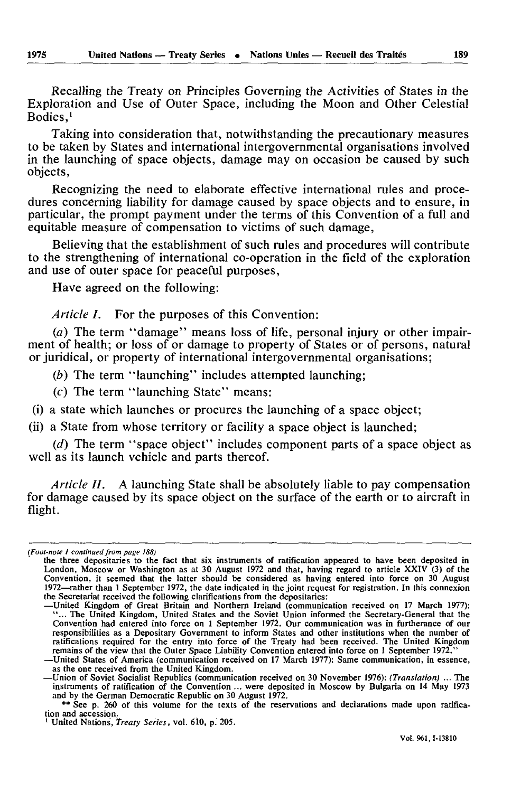Recalling the Treaty on Principles Governing the Activities of States in the Exploration and Use of Outer Space, including the Moon and Other Celestial Bodies, <sup>1</sup>

Taking into consideration that, notwithstanding the precautionary measures to be taken by States and international intergovernmental organisations involved in the launching of space objects, damage may on occasion be caused by such objects,

Recognizing the need to elaborate effective international rules and proce dures concerning liability for damage caused by space objects and to ensure, in particular, the prompt payment under the terms of this Convention of a full and equitable measure of compensation to victims of such damage,

Believing that the establishment of such rules and procedures will contribute to the strengthening of international co-operation in the field of the exploration and use of outer space for peaceful purposes,

Have agreed on the following:

*Article I.* For the purposes of this Convention:

*(a)* The term "damage" means loss of life, personal injury or other impair ment of health; or loss of or damage to property of States or of persons, natural or juridical, or property of international intergovernmental organisations;

*(b)* The term "launching" includes attempted launching;

*(c)* The term "launching State" means:

(i) a state which launches or procures the launching of a space object;

(ii) a State from whose territory or facility a space object is launched;

*(d)* The term "space object" includes component parts of a space object as well as its launch vehicle and parts thereof.

*Article H.* A launching State shall be absolutely liable to pay compensation for damage caused by its space object on the surface of the earth or to aircraft in flight.

*<sup>(</sup>Foot-note I continued from page 188)*

the three depositaries to the fact that six instruments of ratification appeared to have been deposited in London, Moscow or Washington as at 30 August 1972 and that, having regard to article XXIV (3) of the Convention, it seemed that the latter should be considered as having entered into force on 30 August 1972 rather than 1 September 1972, the date indicated in the joint request for registration. In this connexion the Secretariat received the following clarifications from the depositaries:

United Kingdom of Great Britain and Northern Ireland (communication received on 17 March 1977): "... The United Kingdom, United States and the Soviet Union informed the Secretary-General that the Convention had entered into force on 1 September 1972. Our communication was in furtherance of our responsibilities as a Depositary Government to inform States and other institutions when the number of ratifications required for the entry into force of the Treaty had been received. The United Kingdom<br>remains of the view that the Outer Space Liability Convention entered into force on 1 September 1972."

United States of America (communication received on 17 March 1977): Same communication, in essence, as the one received from the United Kingdom.

Union of Soviet Socialist Republics (communication received on 30 November 1976): *(Translation) ...* The instruments of ratification of the Convention ... were deposited in Moscow by Bulgaria on 14 May 1973 and by the German Democratic Republic on 30 August 1972.

<sup>\*\*</sup> See p. 260 of this volume for the texts of the reservations and declarations made upon ratification and accession.

<sup>1</sup> United Nations, *treaty Series,* vol. 610, p. 205.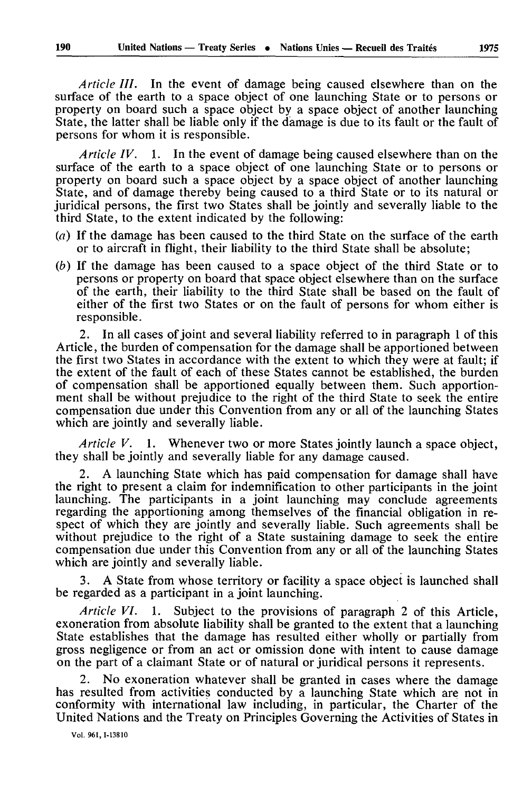*Article III.* In the event of damage being caused elsewhere than on the surface of the earth to a space object of one launching State or to persons or property on board such a space object by a space object of another launching State, the latter shall be liable only if the damage is due to its fault or the fault of persons for whom it is responsible.

*Article IV.* 1. In the event of damage being caused elsewhere than on the surface of the earth to a space object of one launching State or to persons or property on board such a space object by a space object of another launching State, and of damage thereby being caused to a third State or to its natural or juridical persons, the first two States shall be jointly and severally liable to the third State, to the extent indicated by the following:

- *(a)* If the damage has been caused to the third State on the surface of the earth or to aircraft in flight, their liability to the third State shall be absolute;
- *(b)* If the damage has been caused to a space object of the third State or to persons or property on board that space object elsewhere than on the surface of the earth, their liability to the third State shall be based on the fault of either of the first two States or on the fault of persons for whom either is responsible.

2. In all cases of joint and several liability referred to in paragraph 1 of this Article, the burden of compensation for the damage shall be apportioned between the first two States in accordance with the extent to which they were at fault; if the extent of the fault of each of these States cannot be established, the burden of compensation shall be apportioned equally between them. Such apportion ment shall be without prejudice to the right of the third State to seek the entire compensation due under this Convention from any or all of the launching States which are jointly and severally liable.

*Article V.* 1. Whenever two or more States jointly launch a space object, they shall be jointly and severally liable for any damage caused.

2. A launching State which has paid compensation for damage shall have the right to present a claim for indemnification to other participants in the joint launching. The participants in a joint launching may conclude agreements regarding the apportioning among themselves of the financial obligation in re spect of which they are jointly and severally liable. Such agreements shall be without prejudice to the right of a State sustaining damage to seek the entire compensation due under this Convention from any or all of the launching States which are jointly and severally liable.

3. A State from whose territory or facility a space object is launched shall be regarded as a participant in a joint launching.

*Article VI.* 1. Subject to the provisions of paragraph 2 of this Article, exoneration from absolute liability shall be granted to the extent that a launching State establishes that the damage has resulted either wholly or partially from gross negligence or from an act or omission done with intent to cause damage on the part of a claimant State or of natural or juridical persons it represents.

No exoneration whatever shall be granted in cases where the damage has resulted from activities conducted by a launching State which are not in conformity with international law including, in particular, the Charter of the United Nations and the Treaty on Principles Governing the Activities of States in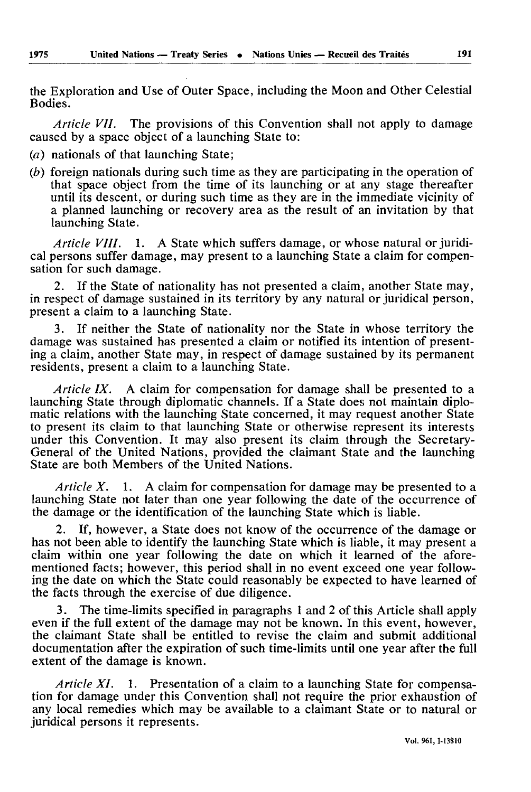the Exploration and Use of Outer Space, including the Moon and Other Celestial Bodies.

*Article VII.* The provisions of this Convention shall not apply to damage caused by a space object of a launching State to:

- *(a)* nationals of that launching State;
- *(b)* foreign nationals during such time as they are participating in the operation of that space object from the time of its launching or at any stage thereafter until its descent, or during such time as they are in the immediate vicinity of a planned launching or recovery area as the result of an invitation by that launching State.

*Article VIII.* 1. A State which suffers damage, or whose natural or juridi cal persons suffer damage, may present to a launching State a claim for compen sation for such damage.

2. If the State of nationality has not presented a claim, another State may, in respect of damage sustained in its territory by any natural or juridical person, present a claim to a launching State.

3. If neither the State of nationality nor the State in whose territory the damage was sustained has presented a claim or notified its intention of present ing a claim, another State may, in respect of damage sustained by its permanent residents, present a claim to a launching State.

*Article IX.* A claim for compensation for damage shall be presented to a launching State through diplomatic channels. If a State does not maintain diplo matic relations with the launching State concerned, it may request another State to present its claim to that launching State or otherwise represent its interests under this Convention. It may also present its claim through the Secretary-General of the United Nations, provided the claimant State and the launching State are both Members of the United Nations.

*Article X.* 1. A claim for compensation for damage may be presented to a launching State not later than one year following the date of the occurrence of the damage or the identification of the launching State which is liable.

2. If, however, a State does not know of the occurrence of the damage or has not been able to identify the launching State which is liable, it may present a claim within one year following the date on which it learned of the afore mentioned facts; however, this period shall in no event exceed one year follow ing the date on which the State could reasonably be expected to have learned of the facts through the exercise of due diligence.

3. The time-limits specified in paragraphs 1 and 2 of this Article shall apply even if the full extent of the damage may not be known. In this event, however, the claimant State shall be entitled to revise the claim and submit additional documentation after the expiration of such time-limits until one year after the full extent of the damage is known.

*Article XL* 1. Presentation of a claim to a launching State for compensa tion for damage under this Convention shall not require the prior exhaustion of any local remedies which may be available to a claimant State or to natural or juridical persons it represents.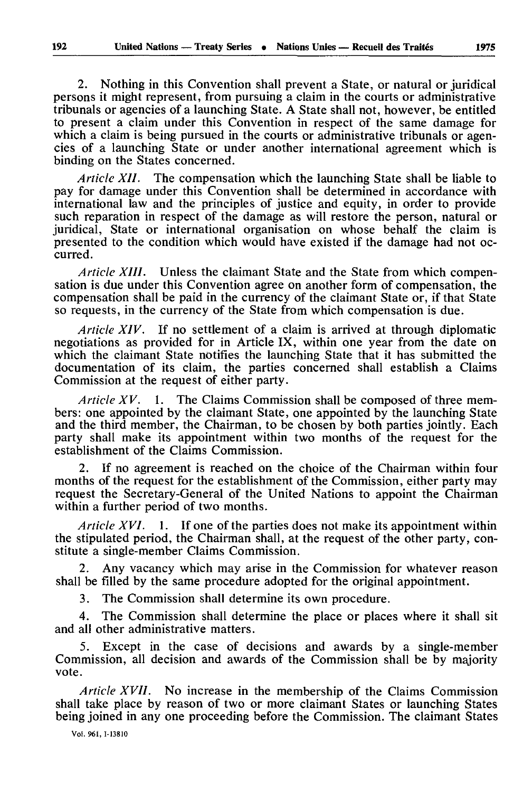2. Nothing in this Convention shall prevent a State, or natural or juridical persons it might represent, from pursuing a claim in the courts or administrative tribunals or agencies of a launching State. A State shall not, however, be entitled to present a claim under this Convention in respect of the same damage for which a claim is being pursued in the courts or administrative tribunals or agencies of a launching State or under another international agreement which is binding on the States concerned.

*Article XII.* The compensation which the launching State shall be liable to pay for damage under this Convention shall be determined in accordance with international law and the principles of justice and equity, in order to provide such reparation in respect of the damage as will restore the person, natural or juridical, State or international organisation on whose behalf the claim is presented to the condition which would have existed if the damage had not oc curred.

*Article XIII.* Unless the claimant State and the State from which compen sation is due under this Convention agree on another form of compensation, the compensation shall be paid in the currency of the claimant State or, if that State so requests, in the currency of the State from which compensation is due.

*Article XIV.* If no settlement of a claim is arrived at through diplomatic negotiations as provided for in Article IX, within one year from the date on which the claimant State notifies the launching State that it has submitted the documentation of its claim, the parties concerned shall establish a Claims Commission at the request of either party.

*Article XV.* 1. The Claims Commission shall be composed of three mem bers: one appointed by the claimant State, one appointed by the launching State and the third member, the Chairman, to be chosen by both parties jointly. Each party shall make its appointment within two months of the request for the establishment of the Claims Commission.

2. If no agreement is reached on the choice of the Chairman within four months of the request for the establishment of the Commission, either party may request the Secretary-General of the United Nations to appoint the Chairman within a further period of two months.

*Article XVI.* 1. If one of the parties does not make its appointment within the stipulated period, the Chairman shall, at the request of the other party, con stitute a single-member Claims Commission.

Any vacancy which may arise in the Commission for whatever reason shall be filled by the same procedure adopted for the original appointment.

3. The Commission shall determine its own procedure.

4. The Commission shall determine the place or places where it shall sit and all other administrative matters.

5. Except in the case of decisions and awards by a single-member Commission, all decision and awards of the Commission shall be by majority vote.

*Article XVII.* No increase in the membership of the Claims Commission shall take place by reason of two or more claimant States or launching States being joined in any one proceeding before the Commission. The claimant States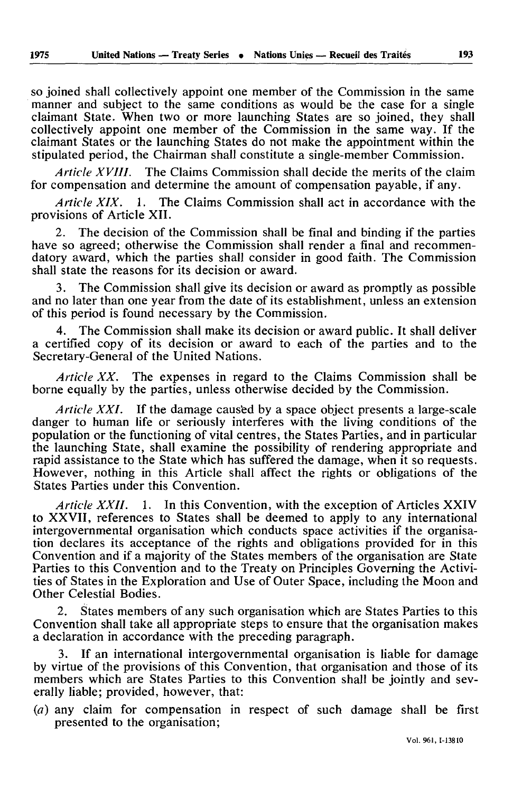so joined shall collectively appoint one member of the Commission in the same manner and subject to the same conditions as would be the case for a single claimant State. When two or more launching States are so joined, they shall collectively appoint one member of the Commission in the same way. If the claimant States or the launching States do not make the appointment within the stipulated period, the Chairman shall constitute a single-member Commission.

*Article XVIII.* The Claims Commission shall decide the merits of the claim for compensation and determine the amount of compensation payable, if any.

*Article XIX.* 1. The Claims Commission shall act in accordance with the provisions of Article XII.

2. The decision of the Commission shall be final and binding if the parties have so agreed; otherwise the Commission shall render a final and recommendatory award, which the parties shall consider in good faith. The Commission shall state the reasons for its decision or award.

3. The Commission shall give its decision or award as promptly as possible and no later than one year from the date of its establishment, unless an extension of this period is found necessary by the Commission.

4. The Commission shall make its decision or award public. It shall deliver a certified copy of its decision or award to each of the parties and to the Secretary-General of the United Nations.

*Article XX.* The expenses in regard to the Claims Commission shall be borne equally by the parties, unless otherwise decided by the Commission.

*Article XXI.* If the damage caused by a space object presents a large-scale danger to human life or seriously interferes with the living conditions of the population or the functioning of vital centres, the States Parties, and in particular the launching State, shall examine the possibility of rendering appropriate and rapid assistance to the State which has suffered the damage, when it so requests. However, nothing in this Article shall affect the rights or obligations of the States Parties under this Convention.

*Article XXII.* 1. In this Convention, with the exception of Articles XXIV to XXVII, references to States shall be deemed to apply to any international intergovernmental organisation which conducts space activities if the organisa tion declares its acceptance of the rights and obligations provided for in this Convention and if a majority of the States members of the organisation are State Parties to this Convention and to the Treaty on Principles Governing the Activi ties of States in the Exploration and Use of Outer Space, including the Moon and Other Celestial Bodies.

2. States members of any such organisation which are States Parties to this Convention shall take all appropriate steps to ensure that the organisation makes a declaration in accordance with the preceding paragraph.

3. If an international intergovernmental organisation is liable for damage by virtue of the provisions of this Convention, that organisation and those of its members which are States Parties to this Convention shall be jointly and sev erally liable; provided, however, that:

*(a)* any claim for compensation in respect of such damage shall be first presented to the organisation;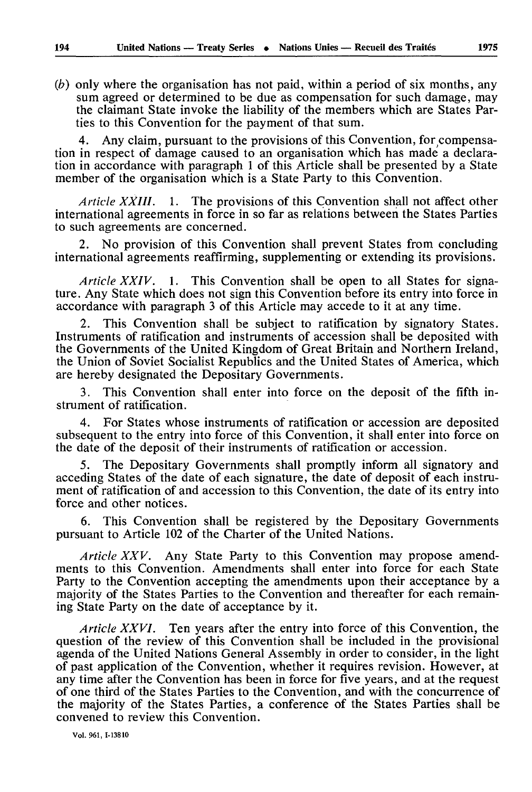*(b)* only where the organisation has not paid, within a period of six months, any sum agreed or determined to be due as compensation for such damage, may the claimant State invoke the liability of the members which are States Par ties to this Convention for the payment of that sum.

Any claim, pursuant to the provisions of this Convention, for compensation in respect of damage caused to an organisation which has made a declara tion in accordance with paragraph 1 of this Article shall be presented by a State member of the organisation which is a State Party to this Convention,

*Article XXIII.* 1. The provisions of this Convention shall not affect other international agreements in force in so far as relations between the States Parties to such agreements are concerned.

2. No provision of this Convention shall prevent States from concluding international agreements reaffirming, supplementing or extending its provisions.

*Article XXIV.* 1. This Convention shall be open to all States for signa ture. Any State which does not sign this Convention before its entry into force in accordance with paragraph 3 of this Article may accede to it at any time.

2. This Convention shall be subject to ratification by signatory States. Instruments of ratification and instruments of accession shall be deposited with the Governments of the United Kingdom of Great Britain and Northern Ireland, the Union of Soviet Socialist Republics and the United States of America, which are hereby designated the Depositary Governments.

3. This Convention shall enter into force on the deposit of the fifth in strument of ratification.

4. For States whose instruments of ratification or accession are deposited subsequent to the entry into force of this Convention, it shall enter into force on the date of the deposit of their instruments of ratification or accession.

*5.* The Depositary Governments shall promptly inform all signatory and acceding States of the date of each signature, the date of deposit of each instru ment of ratification of and accession to this Convention, the date of its entry into force and other notices.

This Convention shall be registered by the Depositary Governments pursuant to Article 102 of the Charter of the United Nations.

*Article XXV.* Any State Party to this Convention may propose amend ments to this Convention. Amendments shall enter into force for each State Party to the Convention accepting the amendments upon their acceptance by a majority of the States Parties to the Convention and thereafter for each remain ing State Party on the date of acceptance by it.

*Article XXVI.* Ten years after the entry into force of this Convention, the question of the review of this Convention shall be included in the provisional agenda of the United Nations General Assembly in order to consider, in the light of past application of the Convention, whether it requires revision. However, at any time after the Convention has been in force for five years, and at the request of one third of the States Parties to the Convention, and with the concurrence of the majority of the States Parties, a conference of the States Parties shall be convened to review this Convention.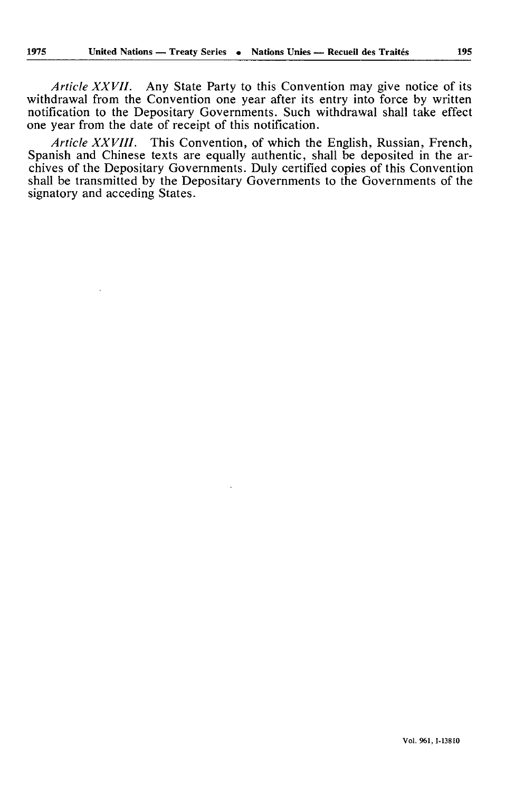*Article XXVII.* Any State Party to this Convention may give notice of its withdrawal from the Convention one year after its entry into force by written notification to the Depositary Governments. Such withdrawal shall take effect one year from the date of receipt of this notification.

*Article XXVIII.* This Convention, of which the English, Russian, French, Spanish and Chinese texts are equally authentic, shall be deposited in the ar chives of the Depositary Governments. Duly certified copies of this Convention shall be transmitted by the Depositary Governments to the Governments of the signatory and acceding States.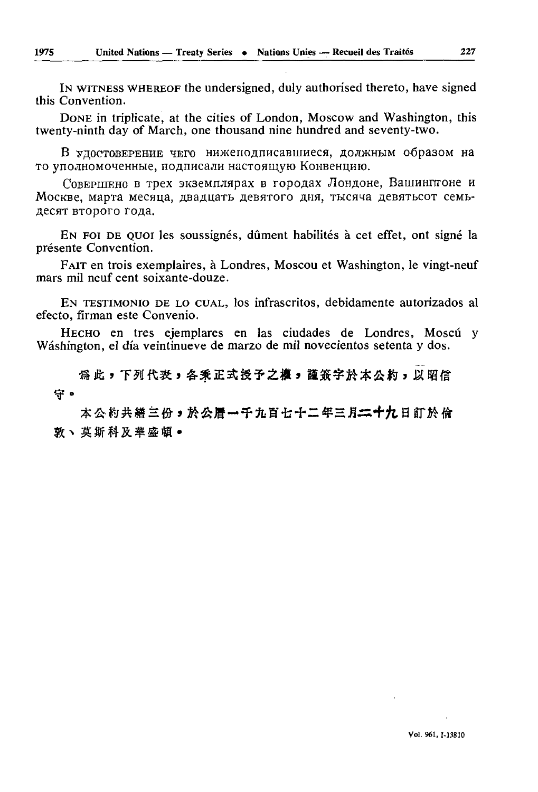IN WITNESS WHEREOF the undersigned, duly authorised thereto, have signed this Convention.

DONE in triplicate, at the cities of London, Moscow and Washington, this twenty-ninth day of March, one thousand nine hundred and seventy-two.

В удостоверение чего нижеподписавшиеся, должным образом на то уполномоченные, подписали настоящую Конвенцию.

Совершено в трех экземплярах в городах Лондоне, Вашинптоне и MocKBe, Mapra Mecnua, ABaAUatb AeBHToro AHH, TbiCHMa AeBHTbcor ceMbдесят второго года.

EN FOI DE QUOI les soussignés, dûment habilités à cet effet, ont signé la présente Convention.

FAIT en trois exemplaires, à Londres, Moscou et Washington, le vingt-neuf mars mil neuf cent soixante-douze.

EN TESTIMONIO DE LO CUAL, los infrascritos, debidamente autorizados al efecto, firman este Convenio.

HECHO en très ejemplares en las ciudades de Londres, Moscú y Washington, el dia veintinueve de marzo de mil novecientos setenta y dos.

爲此,下列代表,各秉正式授予之權,謹簽字於本公約,以昭信 守。

本公約共繕三份,於公厝一千九百七十二年三月二十九日訂於倫 敦、莫斯科及華盛頓。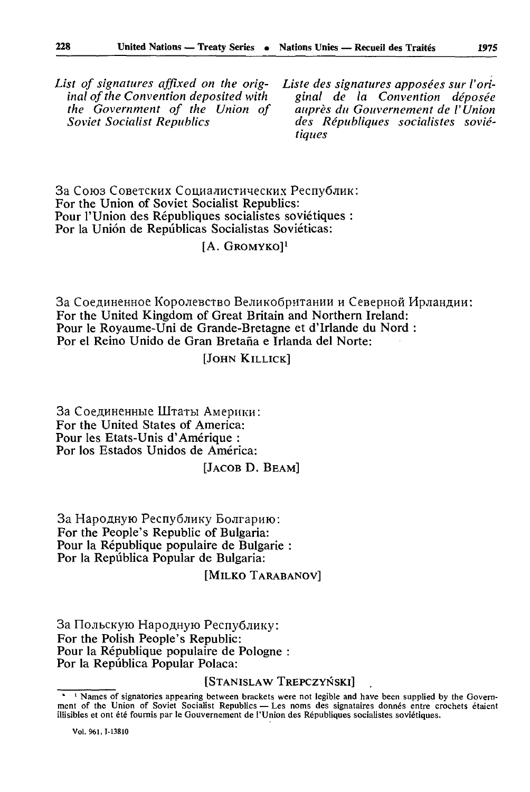*List of signatures affixed on the orig- Liste des signatures apposées sur l'orithe Government of the Union of Soviet Socialist Republics* 

inal of the Convention deposited with ginal de la Convention déposée<br>the Government of the Union of gunrès du Gouvernement de l'Union *Soviet Socialist Republics des Républiques socialistes sovié tiques*

За Союз Советских Социалистических Республик: For thé Union of Soviet Socialist Republics: Pour l'Union des Républiques socialistes soviétiques : Por la Unión de Repúblicas Socialistas Soviéticas:

[A. GROMYKO]<sup>1</sup>

За Соединенное Королевство Великобритании и Северной Ирландии: For thé United Kingdom of Great Britain and Northern Ireland: Pour le Royaume-Uni de Grande-Bretagne et d'Irlande du Nord : Por el Reino Unido de Gran Bretaña e Irlanda del Norte:

[JOHN KILLICK]

За Соединенные Штаты Америки: For thé United States of America: Pour les Etats-Unis d'Amérique : Por los Estados Unidos de América:

# [JACOB D. BEAM]

За Народную Республику Болгарию: For the People's Republic of Bulgaria: Pour la République populaire de Bulgarie : Por la Repûblica Popular de Bulgaria:

# [MILKO TARABANOV]

За Польскую Народную Республику: For the Polish People's Republic: Pour la République populaire de Pologne : Por la Repûblica Popular Polaca:

### [STANISLAW TREPCZYŃSKI]

<sup>&#</sup>x27; ' Names of signatories appearing between brackets were not legible and have been supplied by the Govern ment of the Union of Soviet Socialist Republics — Les noms des signataires donnés entre crochets étaient illisibles et ont été fournis par le Gouvernement de l'Union des Républiques socialistes soviétiques.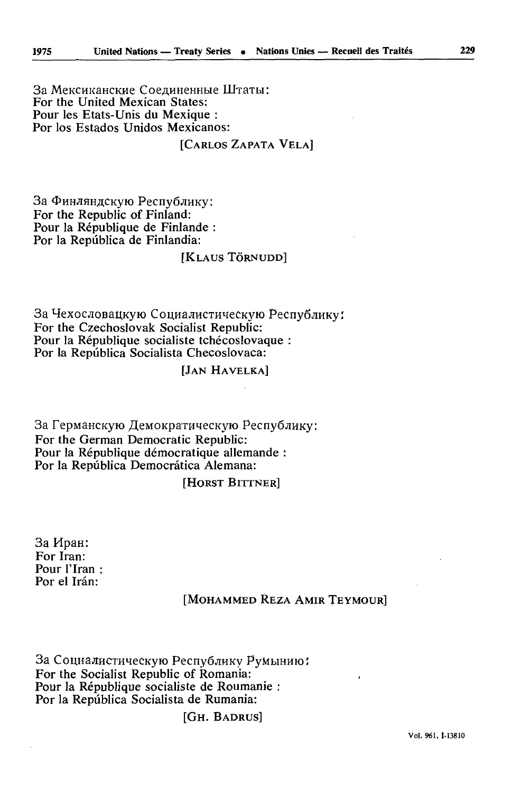За Мексиканские Соединенные Штаты: For the United Mexican States: Pour les Etats-Unis du Mexique : Por los Estados Unidos Mexicanos: [CARLOS ZAPATA VELA]

За Финляндскую Республику: For the Republic of Finland: Pour la République de Finlande : Por la Repûblica de Finlandia:

### [KLAUS TÔRNUDD]

За Чехословацкую Социалистическую Республику: For the Czechoslovak Socialist Republic: Pour la République socialiste tchécoslovaque Por la Repûblica Socialista Checoslovaca:

# [JAN HAVELKA]

За Германскую Демократическую Республику: For the German Democratic Republic: Pour la République démocratique allemande : Por la Repûblica Democrâtica Alemana:

# [HORST BITTNER]

3a Hpaa: For Iran: Pour l'Iran : Por el Irán:

### [MOHAMMED REZA AMIR TEYMOUR]

За Социалистическую Республику Румынию: For the Socialist Republic of Romania: Pour la République socialiste de Roumanie : Por la Repûblica Socialista de Rumania:

[GH. BADRUS]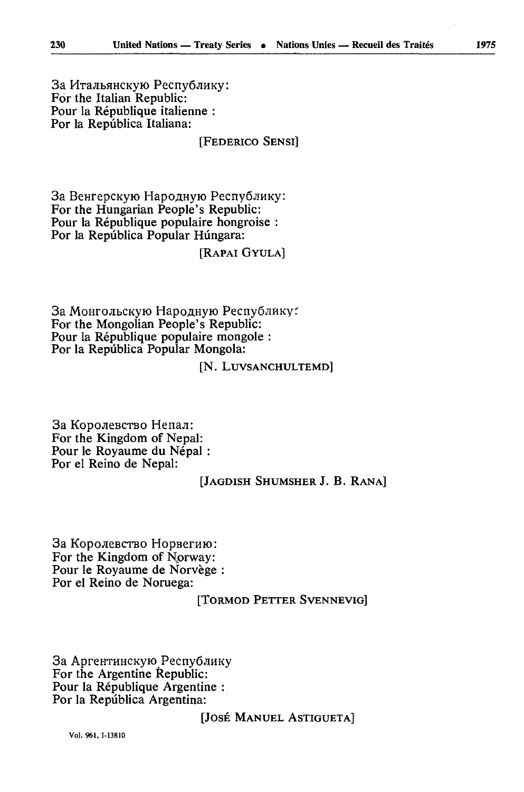За Итальянскую Республику: For the Italian Republic: Pour la République italienne : Por la Repûblica Italiana:

[FEDERICO SENSI]

За Венгерскую Народную Республику: For the Hungarian People's Republic: Pour la République populaire hongroise : Por la Repûblica Popular Hûngara:

[RAPAI GYULA]

За Монгольскую Народную Республику: For the Mongolian People's Republic: Pour la République populaire mongole : Por la Repûblica Popular Mongola:

### **[N. LUVSANCHULTEMD]**

За Королевство Непал: For the Kingdom of Nepal: Pour le Royaume du Népal : Por el Reino de Népal:

### [JAGDISH SHUMSHER J. B. RANA]

За Королевство Норвегию: For the Kingdom of Norway: Pour le Royaume de Norvège : Por el Reino de Noruega:

# [TORMOD PETTER SVENNEVIG]

За Аргентинскую Республику For thé Argentine Republic: Pour la République Argentine : Por la Repûblica Argentina:

[JosÉ MANUEL ASTIGUETA]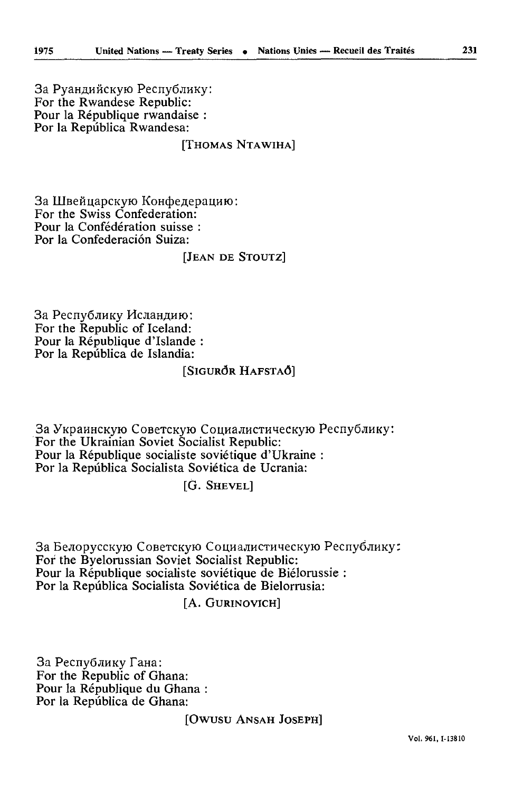За Руандийскую Республику: For the Rwandese Republic: Pour la République rwandaise : Por la Repùblica Rwandesa: [THOMAS NTAWIHA]

За Швейцарскую Конфедерацию: For the Swiss Confederation: Pour la Confédération suisse : Por la Confederación Suiza:

### [JEAN DE STOUTZ]

За Республику Исландию: For the Republic of Iceland: Pour la République d'Islande : Por la Repùblica de Islandia:

### [SiGURÔR HAFSTAÔ]

За Украинскую Советскую Социалистическую Республику: For the Ukrainian Soviet Socialist Republic: Pour la République socialiste soviétique d'Ukraine : Por la Repùblica Socialista Soviética de Ucrania:

[G. SHEVEL]

За Белорусскую Советскую Социалистическую Республику: For the Byelorussian Soviet Socialist Republic: Pour la République socialiste soviétique de Biélorussie : Por la Repùblica Socialista Soviética de Bielorrusia:

[A. GURINOVICH]

За Республику Гана: For the Republic of Ghana: Pour la République du Ghana : Por la Repùblica de Ghana:

[Owusu ANSAH JOSEPH]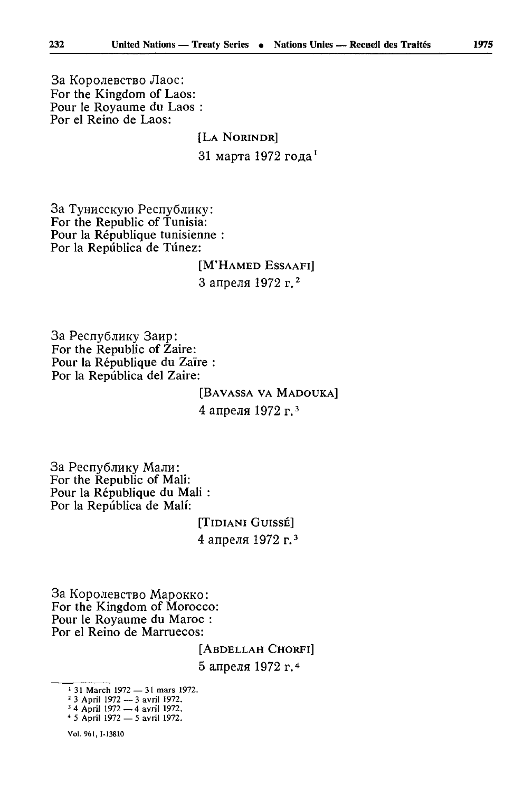За Королевство Лаос: For the Kingdom of Laos: Pour le Royaume du Laos : Por el Reino de Laos:

[LA NORINDR]

31 марта 1972 года<sup>1</sup>

За Тунисскую Республику: For the Republic of Tunisia: Pour la République tunisienne : Por la República de Túnez:

**[M'HAMED** ESSAAFI]

3 апреля 1972 г.<sup>2</sup>

За Республику Заир: For the Republic of Zaire: Pour la République du Zaïre : Por la Repûblica del Zaire:

[BAVASSA VA MADOUKA]

4 апреля 1972 г. 3

За Республику Мали: For the Republic of Mali: Pour la République du Mali : Por la Repûblica de Mali:

> **[TlDIANI GUISSÉ]** 4 апреля 1972 г.<sup>3</sup>

За Королевство Марокко: For the Kingdom of Morocco: Pour le Royaume du Maroc : Por el Reino de Marruecos:

[ABDELLAH CHORFI]

5 апреля 1972 г. 4

<sup>&#</sup>x27; 3l March 1972 — 31 mars 1972.

<sup>2 3</sup> April 1972 — 3 avril 1972. *3 4* April 1972 —4 avril 1972. 4 5 April 1972 — 5 avril 1972.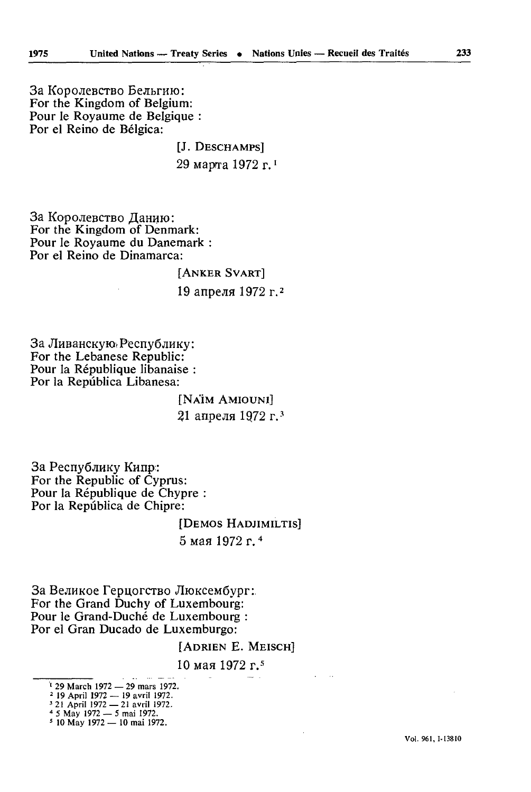За Королевство Бельгию: For the Kingdom of Belgium: Pour le Royaume de Belgique : Por el Reino de Bélgica:

[J. DESCHAMPS]

29 марта 1972 г.

За Королевство Данию: For the Kingdom of Denmark: Pour le Royaume du Danemark : Por el Reino de Dinamarca:

[ANKER SVART]

# 19 апреля 1972 г.<sup>2</sup>

За Ливанскую Республику: For the Lebanese Republic: Pour la République libanaise : Por la Repûblica Libanesa:

> [NA'İM AMIOUNI] 21 апреля 1972 г.<sup>3</sup>

За Республику Кипр: For the Republic of Cyprus: Pour la République de Chypre : Por la Repûblica de Chipre:

[DEMOS HADJIMILTIS]

5 мая 1972 г. <sup>4</sup>

За Великое Герцогство Люксембург: For thé Grand Duchy of Luxembourg: Pour le Grand-Duché de Luxembourg : Por el Gran Ducado de Luxemburgo:

[ADRIEN E. MEISCH]

10 Maa 1972 r. <sup>5</sup>

 $129$  March 1972 — 29 mars 1972.

<sup>2 19</sup> April 1972 — 19 avril 1972. 3 21 April 1972 — 21 avril 1972. 4 5 May 1972 — 5 mai 1972. 5 10 May 1972 — 10 mai 1972.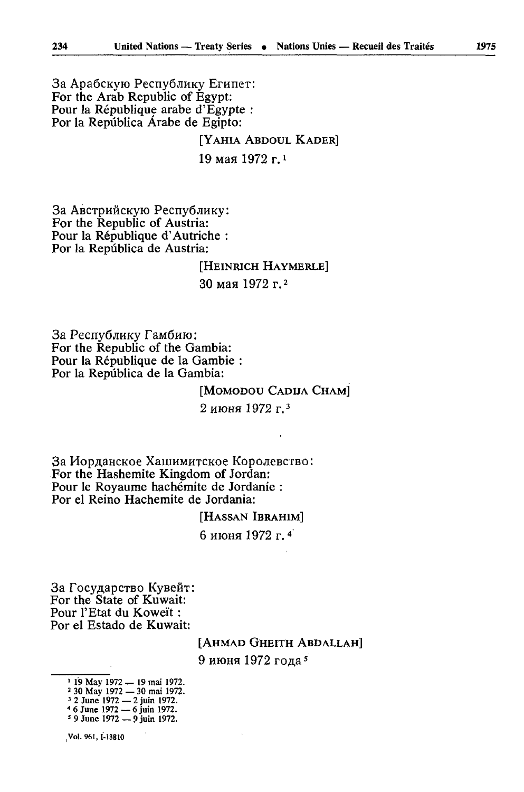За Арабскую Республику Египет: For the Arab Republic of Egypt: Pour la République arabe d'Egypte : Por la Repûblica Arabe de Egipto:

[YAHIA ABDOUL KADER]

19 мая 1972 г. 1

За Австрийскую Республику: For the Republic of Austria: Pour la République d'Autriche : Por la Repûblica de Austria:

[HEINRICH HAYMERLE]

30 мая 1972 г. <sup>2</sup>

За Республику Гамбию: For the Republic of the Gambia: Pour la République de la Gambie Por la Repûblica de la Gambia:

[MoMODOu CADIJA CHAM]

2 июня 1972 г.<sup>3</sup>

За Иорданское Хашимитское Королевство: For the Hashemite Kingdom of Jordan: Pour le Royaume hachémite de Jordanie : Por el Reino Hachemite de Jordania:

[HASSAN IBRAHIM]

6 июня 1972 г. 4

За Государство Кувейт: For thé State of Kuwait: Pour l'Etat du Koweït : Por el Estado de Kuwait:

> [AHMAD GHEITH ABDALLAH] 9 июня 1972 года<sup>5</sup>

, Vol. 961,1-13810

<sup>1 19</sup> May 1972 — 19 mai 1972. \* 30 May 1972 — 30 mai 1972.

<sup>3 2</sup> June 1972 — 2 juin 1972. 4 6 June 1972 — 6 juin 1972. s 9 June 1972 —9 juin 1972.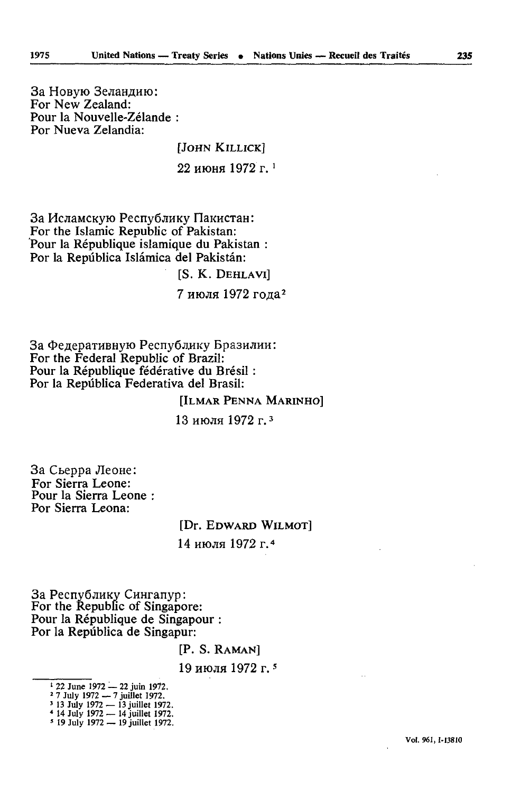3a For New Zealand: Pour la Nouvelle-Zélande : Por Nueva Zelandia:

[JOHN KILLICK]

 $22$ июня 1972 г. <sup>1</sup>

За Исламскую Республику Пакистан: For the Islamic Republic of Pakistan: Pour la République islamique du Pakistan : Por la Repûblica Islâmica del Pakistan:

[S. K. DEHLAVI]

7 июля 1972 года<sup>2</sup>

За Федеративную Республику Бразилии: For the Federal Republic of Brazil: Pour la République federative du Brésil : Por la Repûblica Federativa del Brasil:

[ILMAR PENNA MARINHO]

13 июля 1972 г. 3

За Сьерра Леоне: For Sierra Leone: Pour la Sierra Leone : Por Sierra Leona:

[Dr. EDWARD WILMOT]

14 июля 1972 г.<sup>4</sup>

За Республику Сингапур: For the Republic of Singapore: Pour la République de Singapour : Por la Repûblica de Singapur:

[P. S. RAMAN]

19 июля 1972 г. 5

<sup>1 22</sup> June 1972 — 22 juin 1972. 2 7 July 1972 —7 juillet 1972. 3 13 July 1972 — 13 juillet 1972. *\** 14 July 1972 — 14 juillet 1972. 5 19 July 1972 — 19 juillet 1972.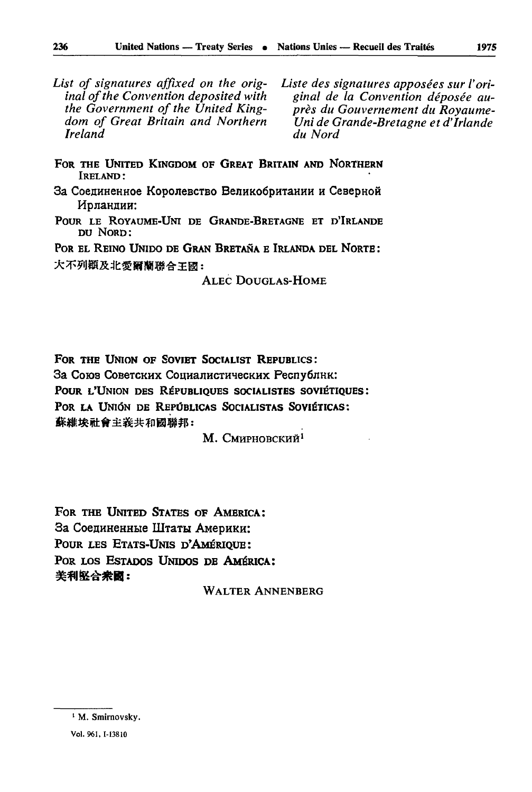*List of signatures affixed on the orig- Liste des signatures apposées sur l'ori*dom of Great Britain and Northern<br>Ireland

*inal of the Convention deposited with ginal de la Convention déposée authe Government of the United King- près du Gouvernement du Royaume*du Nord

- FOR THE UNITED KINGDOM OF GREAT BRITAIN AND NORTHERN IRELAND :
- За Соединенное Королевство Великобритании и Северной Ирландии:
- POUR LE ROYAUME-UNI DE GRANDE-BRETAGNE ET D'IRLANDE DU NORD:

POR EL REINO UNIDO DE GRAN BRETAÑA E IRLANDA DEL NORTE:

大不列類及北愛爾蘭聯合王國:

ALEC DOUGLAS-HOME

FOR THE UNION OF SOVIET SOCIALIST REPUBLICS: За Союз Советских Социалистических Республнк: POUR L'UNION DES RÉPUBLIQUES SOCIALISTES SOVIÉTIQUES: POR LA UNIÓN DE REPÚBLICAS SOCIALISTAS SOVIÉTICAS: 蘇維埃社會主義共和國聯邦:

 $M.$  Смирновский<sup>1</sup>

FOR THE UNITED STATES OF AMERICA: За Соединенные Штаты Америки: POUR LES ETATS-UNIS D'AMÉRIQUE: POR LOS ESTADOS UNIDOS DE AMERICA: 美利堅合衆國:

WALTER ANNENBERG

<sup>&</sup>lt;sup>1</sup> M. Smirnovsky.

Vol. 961,1-13810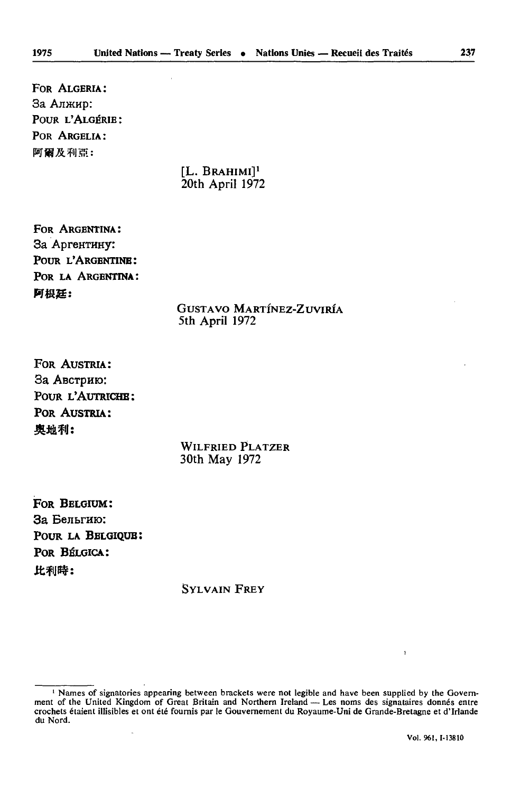FOR ALGERIA: За Алжир: POUR L'ALGÉRIE: FOR ARGELIA: 阿爾及利亞:

> [L. BRAHIMI]' 20th April 1972

FOR ARGENTINA: За Аргентину: POUR L'ARGENTINE: POR LA ARGENTINA: 阿根廷:

## GUSTAVO MARTÍNEZ-ZUVIRÍA 5th April 1972

FOR AUSTRIA: 3a ABCTPHIO: POUR L'AUTRICHE: FOR AUSTRIA: 奥地利:

> WILFRIED PLATZER 30th May 1972

FOR BELGIUM: За Бельгию: POUR LA BELGIQUE: POR BÉLGICA: 比利時:

SYLVAIN FREY

1

<sup>&</sup>lt;sup>1</sup> Names of signatories appearing between brackets were not legible and have been supplied by the Government of the United Kingdom of Great Britain and Northern Ireland — Les noms des signataires donnés entre crochets étaient illisibles et ont été fournis par le Gouvernement du Royaume-Uni de Grande-Bretagne et d'Irlande du Nord.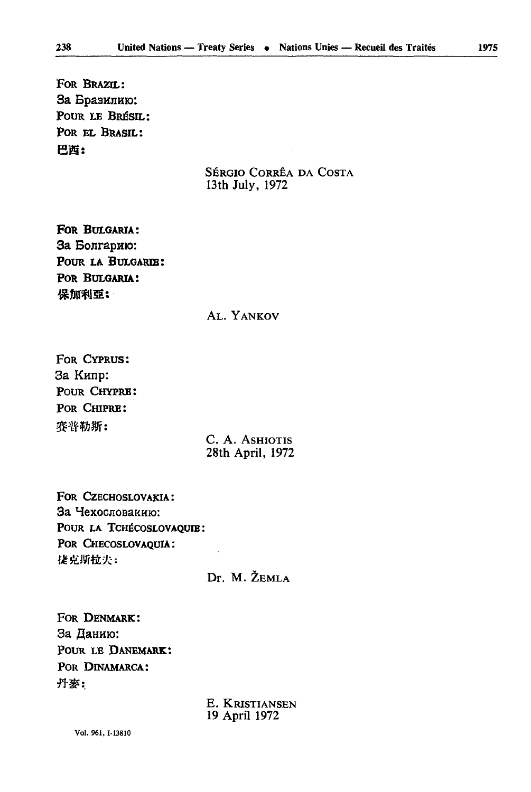FOR BRAZIL: За Бразилию: POUR LE BRÉSIL: POR EL BRASIL: 巴西:

> **SÉRGIO CORRÊA DA COSTA** 13th July, 1972

FOR BULGARIA: За Болгарию: POUR LA BULGARIE: POR BULGARIA: 保加利亞:

# AL. YANKOV

FOR CYPRUS: 3a KHnp: POUR CHYPRE: POR CHIPRE: 究普勒斯:

> C. A. ASHIOTIS 28th April, 1972

FOR CZECHOSLOVAKIA: За Чехословакию: POUR LA TCHÉCOSLOVAQUIE: POR CHECOSLOVAQUIA: 捷克斯拉夫:

Dr. M.

FOR DENMARK: За Данию: POUR LE DANEMARK: POR DINAMARCA: 丹麥:

> E. KRISTIANSEN 19 April 1972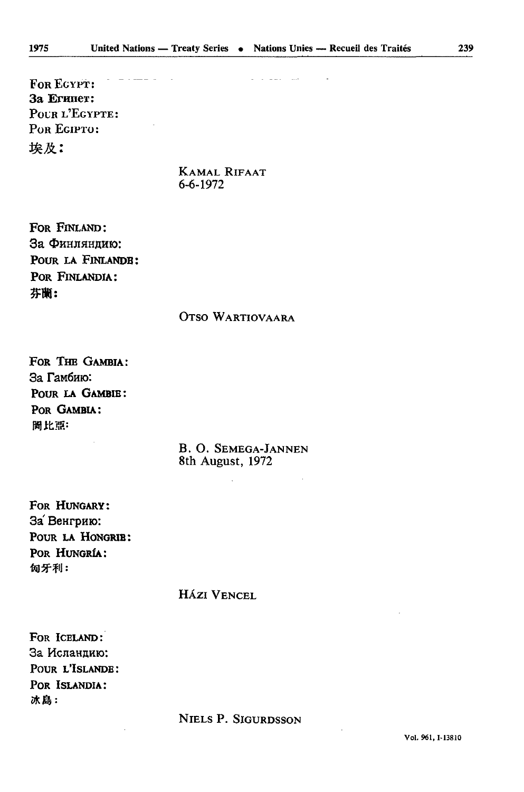$-$  .  $-$ FOR EGYPT: **3a Brunei:**  POUR L'EGYPTE: POR EGIPTO: 埃及:

> KAMAL RIFAAT 6-6-1972

FOR FINLAND: За Финляндию: POUR LA FINLANDE: POR FINLANDIA: 芬蘭:

# OTSO WARTIOVAARA

FOR THE GAMBIA: 3a FaMÔHio: POUR LA GAMBIE: POR GAMBIA: **岡比亞**:

> B. O. SEMEGA-JANNEN 8th August, 1972

FOR HUNGARY: 3a BeHrpmo: POUR LA HONGRIE: POR HUNGRÎA: 匈牙利:

HÁZI VENCEL

FOR ICELAND: За Исландию: POUR L'ISLANDE: POR ISLANDIA: 冰息:

NIELS P. SIGURDSSON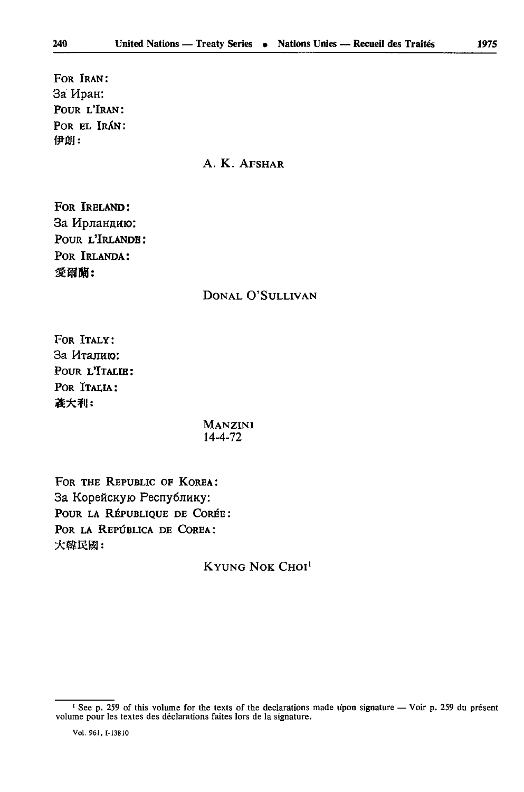FOR IRAN: 3a Hpan: POUR L'IRAN: POR EL IRAN: 伊朗:

A. K. AFSHAR

FOR IRELAND: За Ирландию: POUR L'IRLANDE: POR IRLANDA: 愛爾蘭:

# DONAL O'SULLIVAN

FOR ITALY: 3a Htanaro: POUR L'ITALIE: POR ITALIA: 義大利:

### MANZINI 14-4-72

FOR THE REPUBLIC OF KOREA: За Корейскую Республику: POUR LA RÉPUBLIQUE DE CORÉE: POR LA REPÛBLICA DE COREA: 大韓民國:

KYUNG NOK CHOI'

<sup>&#</sup>x27; See p. 259 of this volume for the texts of the declarations made u'pon signature — Voir p. 259 du présent volume pour les textes des déclarations faites lors de la signature.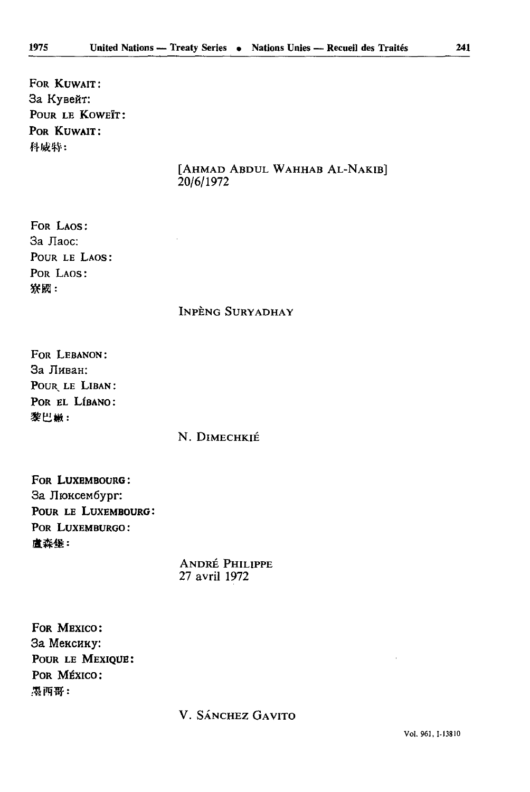FOR KUWAIT: 3а Кувейт: POUR LE KOWEÏT: POR KUWAIT: 科威特:

### [AHMAD ABDUL WAHHAB AL-NAKIB] 20/6/1972

FOR LAOS: 3a Haoc: POUR LE LAOS: POR LAOS: 容國:

# INPÈNG SURYADHAY

FOR LEBANON: Sa Jlnsan: POUR, LE LIBAN: POR EL LÎBANO: 黎巴嫩:

### N. DIMECHKIÉ

FOR LUXEMBOURG: За Люксембург: POUR LE LUXEMBOURG: POR LUXEMBURGO: 直森堡:

> ANDRÉ PHILIPPE 27 avril 1972

FOR MEXICO: За Мексику: POUR LE MEXIQUE: POR MÉXICO: 墨西哥:

# V. SÂNCHEZ GAVITO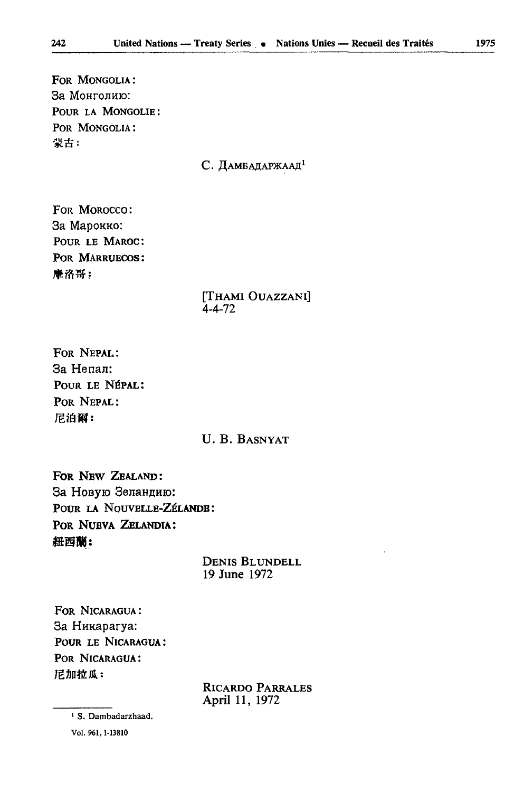FOR MONGOLIA: За Монголию: POUR LA MONGOLIE: POR MONGOLIA: 蒙古:

С. ДАМБАДАРЖААД<sup>1</sup>

FOR MOROCCO: 3a MapoKKo: POUR LE MAROC: POR MARRUECOS: 廉洛哥:

### **[THAMI OUAZZANI]**  $4 - 4 - 72$

FOR NEPAL: За Непал: POUR LE NÉPAL: POR NEPAL: 尼泊爾:

# U. B. BASNYAT

FOR NEW ZEALAND: За Новую Зеландию: POUR LA NOUVELLE-ZÉLANDE: POR NUEVA ZELANDIA: 紐西蘭:

> DENIS BLUNDELL 19 June 1972

FOR NICARAGUA: За Никарагуа: POUR LE NICARAGUA: POR NICARAGUA: 尼加拉瓜:

> RICARDO PARRALES April 11, 1972

Vol. **961,** 1-13810

**<sup>1</sup> S. Dambadarzhaad.**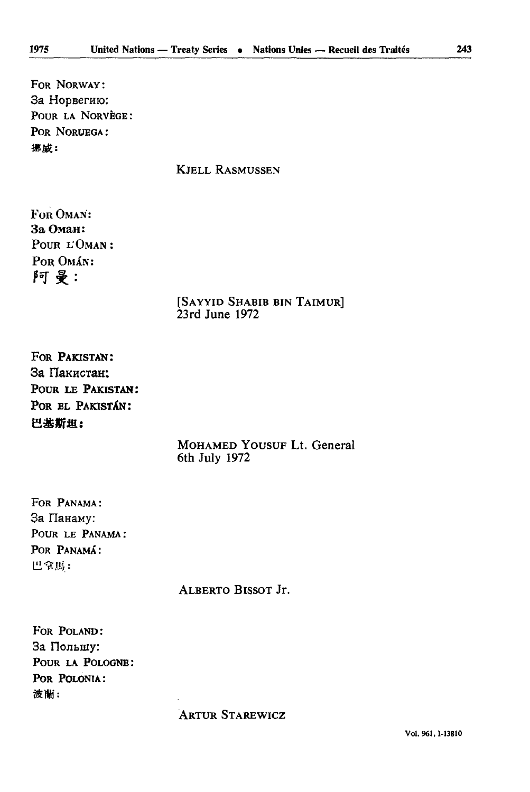FOR NORWAY: 3a Hopsermo: POUR LA NORVÈGE: POR NORUEGA: **挪威:** 

# KJELL RASMUSSEN

FOR OMAN: 3а Оман: POUR L'OMAN : Por Omán:<br>阿曼:

# [SAYYID SHABIB BIN TAIMUR] 23rd June 1972

FOR PAKISTAN: За Пакистан: POUR LE PAKISTAN: POR EL PAKISTÁN: 巴基斯坦:

> MOHAMED YOUSUF Lt. General 6th July 1972

FOR PANAMA: За Панаму: POUR LE PANAMA: POR PANAMÁ: 巴拿馬:

# ALBERTO BISSOT Jr.

FOR POLAND: За Польшу: POUR LA POLOGNE: POR POLONIA: 波蘭:

### ARTUR STAREWICZ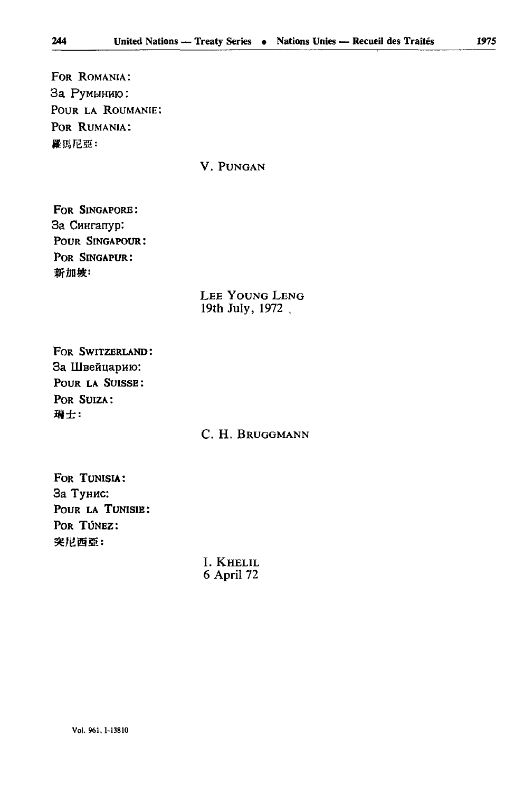FOR ROMANIA: 3a PyMbiHHio: POUR LA ROUMANIE: FOR RUMANIA: 羅馬尼亞:

# **V. PUNGAN**

FOR SINGAPORE: За Сингапур: POUR SINGAPOUR: POR SINGAPUR: 新加坡:

# LEE YOUNG LENG 19th July, 1972 ,

FOR SWITZERLAND: За Швейцарию: POUR LA SUISSE: POR SUIZA:<br>瑞士:

# C. H. BRUGGMANN

FOR TUNISIA: За Тунис: POUR LA TUNISIE: POR TÛNEZ: 突尼西亞:

> I. KHELIL 6 April 72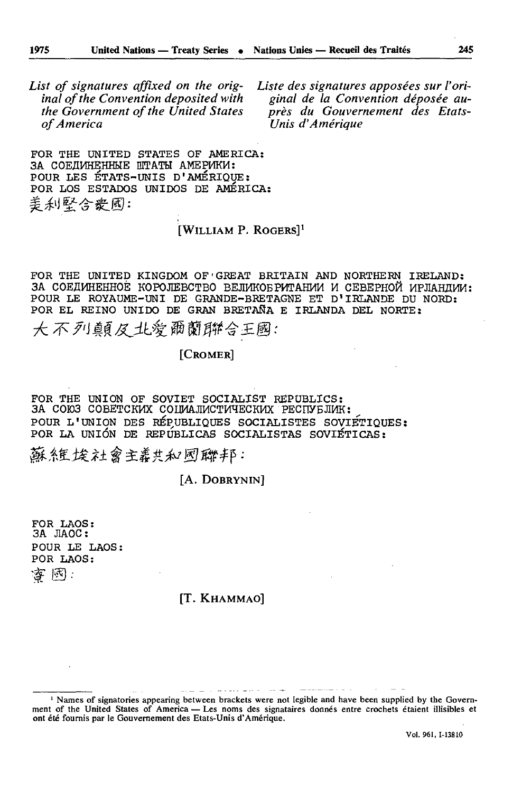*List of signatures affixed on thé orig- Liste des signatures apposées sur l'oriinal of the Convention deposited with the Government of the United States* 

*the Government of 'the United States près du Gouvernement des Etatsof America Unis d'Amérique*

FOR THE UNITED STATES OF AMERICA: 3A COEflMHEHHHE DITATbl AMEPMKM: POUR LES ÉTATS-UNIS D'AMÉRIQUE: POR LOS ESTADOS UNIDOS DE AMERICA: 利堅合衆國:

# [WILLIAM P. ROGERS]<sup>1</sup>

FOR THE UNITED KINGDOM OF GREAT BRITAIN AND NORTHERN IRELAND: ЗА СОЕДИНЕННОЕ КОРОЛЕВСТВО ВЕЛИКОБРИТАНИИ И СЕВЕРНОЙ ИРЛАНДИИ: POUR LE ROYAUME-UNI DE GRANDE-BRETAGNE ET D'IRLANDE DU NORD: POR EL REINO UNIDO DE GRAN BRETAÑA E IRLANDA DEL NORTE: 大不列顛反北愛爾蘭聯合王國:

### [CROMER]

FOR THE UNION OF SOVIET SOCIALIST REPUBLICS: ЗА СОЮЗ СОВЕТСКИХ СОЦИАЛИСТИЧЕСКИХ РЕСПУБЛИК: POUR L'UNION DES RÉPUBLIQUES SOCIALISTES SOVIÉTIQUES: POR LA UNIÓN DE REPUBLICAS SOCIALISTAS SOVIÉTICAS:

蘇維埃社會主義共和國聯邦:

**[A. DOBRYNIN]**

FOR LAOS: 3A JIAOC: POUR LE LAOS: POR LAOS:

### [T. KHAMMAO]

<sup>1</sup> Names of signatories appearing between brackets were not legible and have been supplied by the Government of the United States of America — Les noms des signataires donnés entre crochets étaient illisibles et ont été fournis par le Gouvernement des Etats-Unis d'Amérique.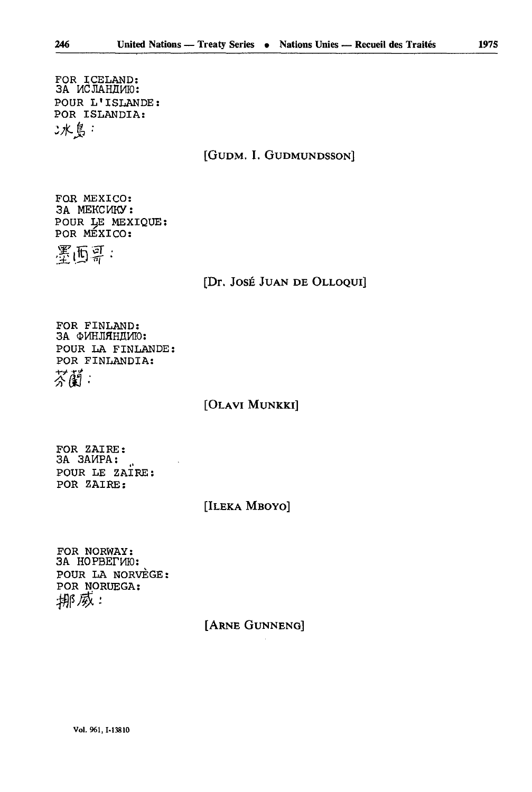FOR ICELAND:<br>ЗА ИСЛАНДИЮ: POUR L'ISLANDE: POR ISLANDIA:<br>.水息:

# [GuoM. I. GUDMUNDSSON]

*FOR* MEXICO: 3A MEKCHKY: POUR L,E MEXIQUE: POR MEXICO:

墨西哥:

# [Dr. JOSÉ JUAN DE OLLOQUI]

FOR FINLAND: ЗА ФИНЛЯНДИЮ: POUR LA FINLANDE: POR FINLANDIA: 交話:

### [OLAVI MUNKKI]

FOR ZAIRE: 3A 3AMPA: POUR LE ZAIRE: POR ZAIRE:

### [ILEKA MBOYO]

FOR NORWAY: ЗА НОРВЕГИЮ: POUR LA NORVÈGE: POR NORUEGA:<br>排队

### [ARNE GUNNENG]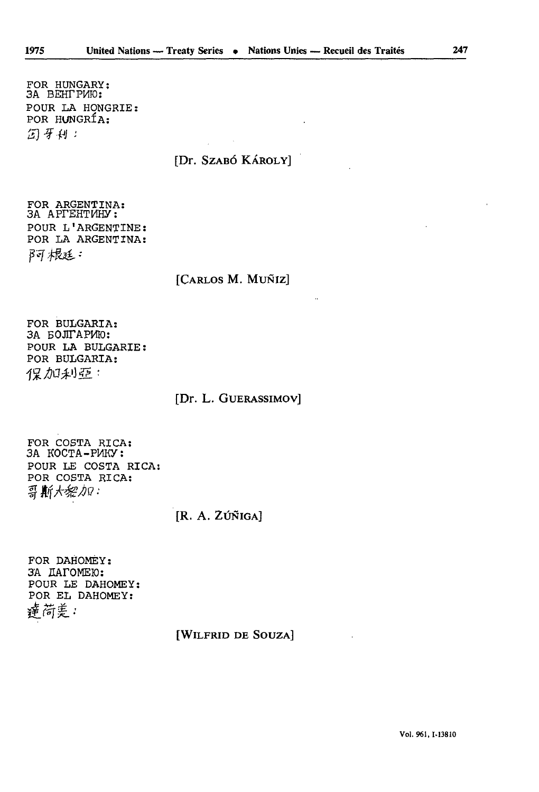FOR HUNGARY:<br>3A BEHTPMO: POUR LA HONGRIE: POR HUNGRfA:  $\Xi$ ]  $F$  $H$ :

# [Dr. SZABÔ KÂROLY]

FOR ARGENTINA:<br>3A APTEHT*V*IHY: POUR L'ARGENTINE: POR LA ARGENTINA: B可根廷:

### [CARLOS M. MUÑIZ]

FOR BULGARIA: ЗА БОЛГАРИЮ: POUR LA BULGARIE: POR BULGARIA: 保加利亞:

[Dr. L. GUERASSIMOV]

FOR COSTA RICA: 3A KOCTA-PMKY: POUR LE COSTA RICA: POR COSTA RICA:<br>哥斯*大架加*:

[R. A. ZÚÑIGA]

FOR DAHOMEY: 3A **JATOME**IO: POUR LE DAHOMEY: POR EL DAHOMEY: 美:

### **[WILFRID DE SOUZA]**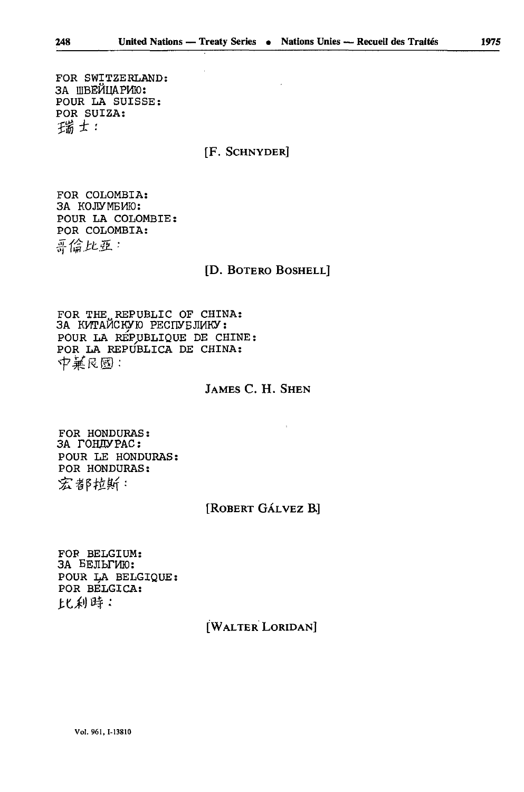FOR SWITZERLAND: ЗА ШВЕЙЦАРИЮ: POUR LA SUISSE: POR SUIZA:<br>瑞士:

# [F. SCHNYDER]

FOR COLOMBIA: 3A KOJIYMEMK): POUR LA COLOMBIE: POR COLOMBIA: **哥倫比亞:** 

### [D. BOTERO BOSHELL]

FOR THE REPUBLIC OF CHINA: 3A KMTAMCKyK) PECnYEJIMKy : POUR LA REPUBLIQUE DE CHINE: POR LA REPÚBLICA DE CHINA:<br>中某民國:

JAMES C. H. SHEN

FOR HONDURAS: 3A *TOHAYPAC*: POUR LE HONDURAS: POR HONDURAS: 宏都拉斯:

### [ROBERT GÂLVEZ R]

FOP BELGIUM: ЗА БЕЛЫГИЮ: POUR IA BELGIQUE: POR BÉLGICA: 比利時:

### [WALTER LORIDAN]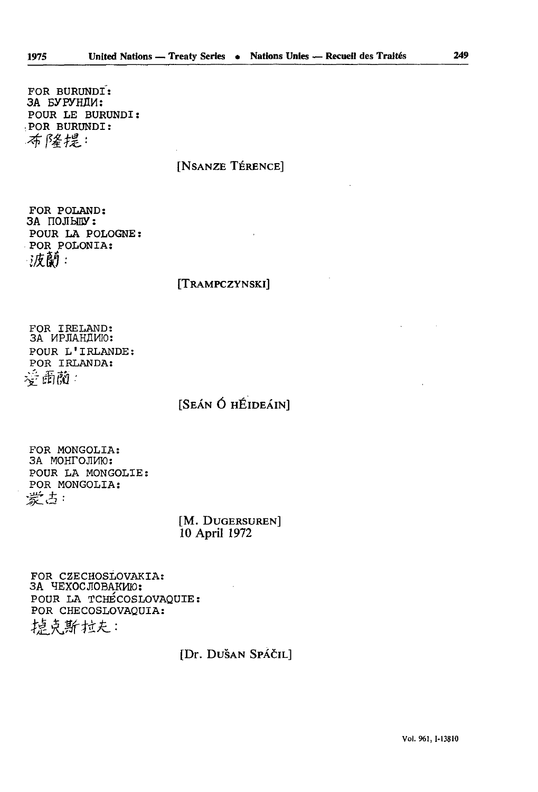FOR BURUNDI: 3A EypyHflM: POUR LE BURUNDI: POR BURUNDI:<br>布隆提:

# [NSANZE TÉRENCE]

FOR POLAND:<br>3A NOJIbWY: POUR LA POLOGNE: POR POLONIA:<br>;皮蘭:

## [TRAMPCZYNSKI]

FOR IRELAND: ЗА ИРЛАНДИЮ**:** POUR L'IRLANDE: POR IRLANDA: ※ 函蘭:

# [SEÂN Ô HÉIDEÂIN]

FOR MONGOLIA: ЗА МОНГОЛИЮ: POUR LA MONGOLIE: POR MONGOLIA:<br>蒙古:

> [M. DUGERSUREN] 10 April 1972

FOR CZECHOSLOVAKIA: 3A *HEXOCJIOBAKMIO:* POUR LA TCHÉCOSLOVAQUIE: POR CHECOSLOVAQUIA: 掉克斯拉夫:

# [Dr. DUSAN SPÂCIL]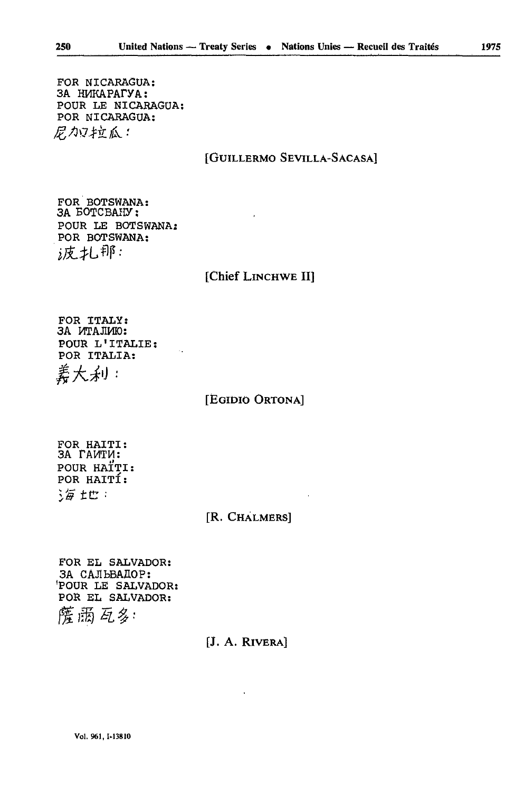FOR NICARAGUA: 3A HMKAPAFyA: POUR LE NICARAGUA: POR NICARAGUA:<br>尼*加*才立瓜:

### [GUILLERMO SEVILLA-SACASA]

FOR BOTSWANA: 3A **BOTCBAHY**: POUR LE BOTSWANA: POR BOTSWANA: 波北郎:

### [Chief LINCHWE II]

FOR ITALY: 3A HTAJIMK): POUR L'ITALIE: POR ITALTA: *義大利*:

[ËGIDIO ORTONA]

FOR HAITI: ЗА ГАИТИ: POUR HAÏTI: POR HAITÍ: 海地:

### [R. CHALMERS]

FOR EL SALVADOR: ЗА САЛЬВАДОР: 'POUR LE SALVADOR: POR EL SALVADOR: 魔 罽 互多:

### *[LA.* RIVERA]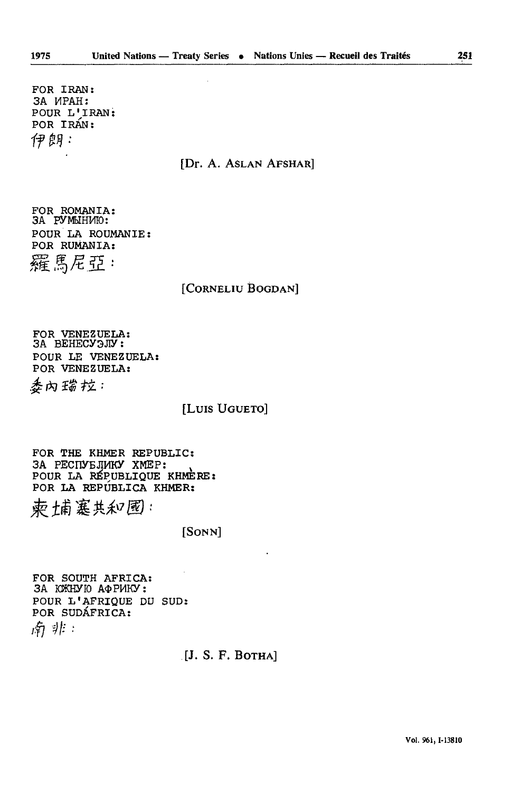FOR IRAN: 3A MPAH: POUR L'IRAN: POR IRÁN:<br>伊朗:

# [Dr. A. ASLAN **AFSHAR]**

POR ROMANIA: ЗА РУМЫНИЮ: POUR LA ROUMANIE: POR RUMANIA: 羅馬尼亞:

### [CORNELIU BOGDAN]

POR VENEZUELA: 3A BEHECy3Jiy: POUR LE VENEZUELA: POR VENEZUELA: 委内瑞拉:

[Luis UGUETO]

FOR THE KHMER REPUBLIC:<br>3A PECNYEJUKY XMEP: POUR LA REPUBLIQUE KHMERE: POR LA REPÙBLICA KHMER: 柬埔襄共和國:

[SONN]

FOR SOUTH AFRICA: 3A KOKHYIO AФPИKY: POUR L'AFRIQUE DU SUD: POR SUDÂFRICA: 南非:

[J. S. F. BOTHA]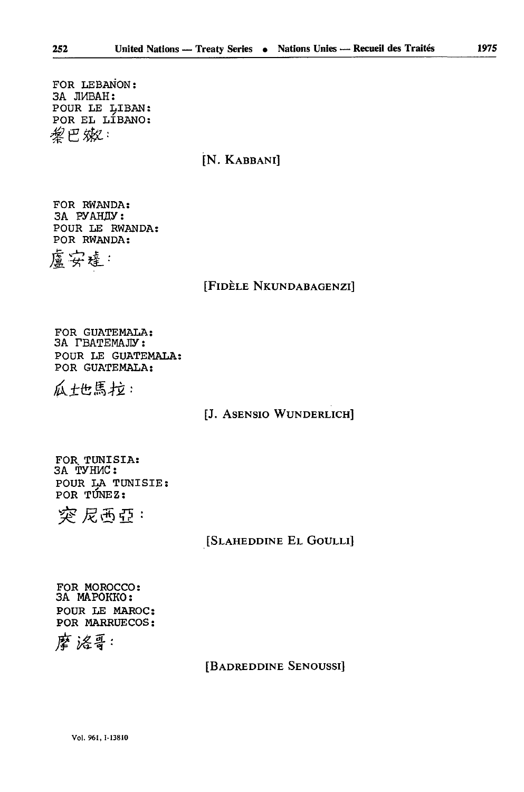FOR LEBANON: 3A JIMBAH: POUR LE LIBAN: POR EL LÍBANO:<br>*黎巴* 效:

[N. KABBANI]

FOR RWANDA: 3A PYAHIIY: POUR LE RWANDA: POR RWANDA: 盧安達

# [FIDÈLE NKUNDABAGENZI]

FOR GUATEMALA: 3A TBATEMAJiy: POUR LE GUATEMALA: POR GUATEMALA:

瓜t也馬拉:

# [J. ASENSIO WUNDERLICH]

FOR TUNISIA: 3A îyHMC: POUR LA TUNISIE: POR TUNEZ:

突 尼西亞:

### [SLAHEDDINE EL GOULLI]

FOR MOROCCO: 3A MAPOKKO: POUR LE MAROC: POR MARRUECOS:

摩 洛哥:

**[BADREDDINE SENOUSSl]**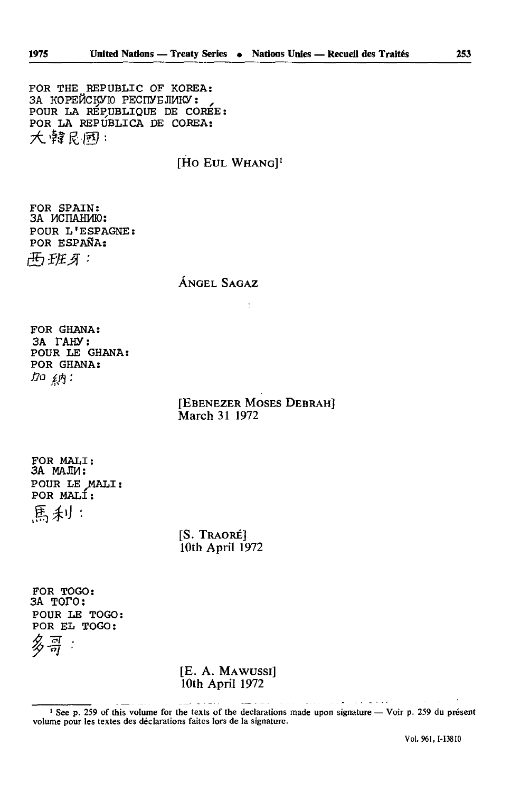FOR THE REPUBLIC OF KOREA: ЗА КОРЕЙСКУЮ РЕСПУБЛИКУ: POUR LA REPUBLIQUE DE COREE: POR LA REPUBLICA DE COREA:<br>大韓尼國:

**[HO EUL WHANG] <sup>1</sup>**

FOR SPAIN: 3A MCIIAHMK): POUR L'ESPAGNE: POR ESPANA: 西班牙:

ÂNGEL SAGAZ

FOR GHANA: 3A TAHY: POUR LE GHANA: POR GHANA: 加 纳:

> [EBENEZER MOSES DEBRAH] March 31 1972

FOR MALI: 3A MAJIM: POUR LE MALI: POR MALI: 馬利:

> [S. TRAORÉ] 10th April 1972

FOR TOGO: 3A TOPO: POUR LE TOGO: POR EL TOGO: 多哥

> [E. A. MAWUSSI] 10th April 1972

1 See p. 259 of this volume for the texts of the declarations made upon signature — Voir p. 259 du présent volume pour les textes des déclarations faites lors de la signature.

فتنوع وبالهجور

 $\omega$  .  $\sim$   $\sim$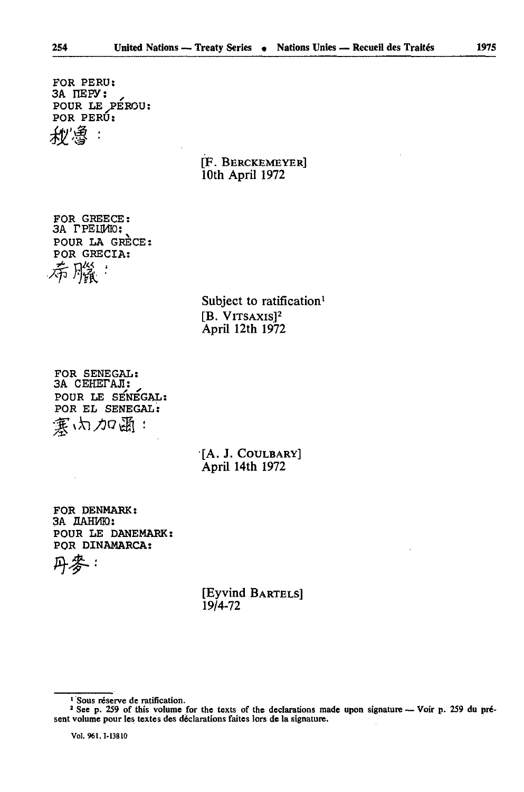FOR PERU: 3A nEPV: *f*  POUR LE PEROU: POR PERU:<br>*宋*| / 遼 :

### [F. BERCKEMEYER] 10th April 1972

FOR GREECE: 3A rPEUMK); <sup>N</sup> POUR LA GRÈCE: POR GRECIA:<br>希臘:

> Subject to ratification<sup>1</sup> [B. VITSAXIS]<sup>2</sup> April 12th 1972

FOR SENEGAL: 3A CEHETAJI: POUR LE SENEGAL: POR EL SENEGAL: 熏内加嚼:

> [A. J. COULBARY] April 14th 1972

FOR DENMARK: 3A EAHWQ: POUR LE DANEMARK: POR DINAMARCA: 丹麥  $\cdot$ 

> [Eyvind BARTELS] 19/4-72

<sup>&</sup>lt;sup>1</sup> Sous réserve de ratification.

*<sup>1</sup> See p.* 259 of this volume for the texts of the declarations made upon signature — Voir p. 2S9 du pré sent volume pour les textes des déclarations faites lors de la signature.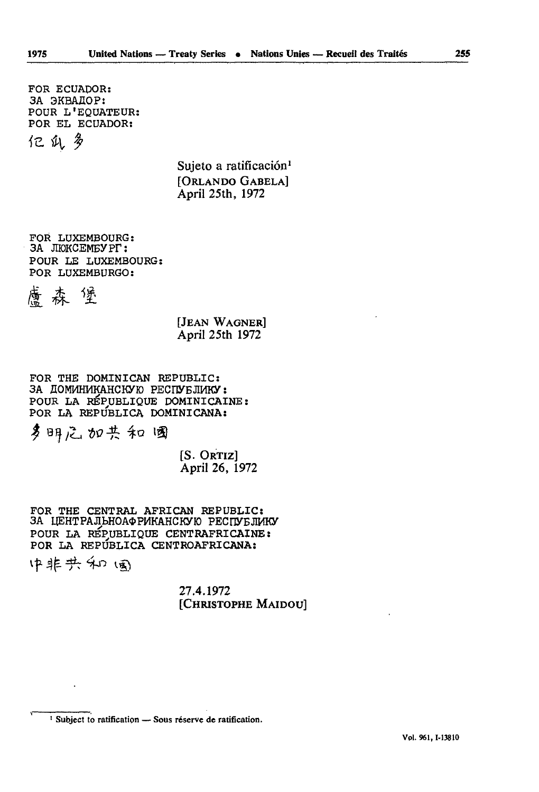FOR ECUADOR: 3A ЭКВАДОР: POUR L'EQUATEUR: POR EL ECUADOR: 亿队多

> Sujeto a ratificación<sup>1</sup> [ORLANDO GABELA] April 25th, 1972

FOR LUXEMBOURG: 3A JIOKCEMEYPT: POUR LE LUXEMBOURG: POR LUXEMBURGO:

盧森堡

[JEAN WAGNER] April 25th 1972

FOR THE DOMINICAN REPUBLIC: ЗА ДОМИНИКАНСКУЮ РЕСПУБЛИКУ: POUR LA RÉPUBLIQUE DOMINICAINE: POR LA REPUBLICA DOMINICANA:

多明尼加共和 國

[S. ORTIZ] April 26, 1972

FOR THE CENTRAL AFRICAN REPUBLIC: ЗА ЦЕНТРАЛЬНОАФРИКАНСКУЮ РЕСПУБЛИКУ POUR LA REPUBLIQUE CENTRAFRICAINE: POR LA REPUBLICA CENTROAFRICANA:

中非共和国

27.4.1972 **[CHRISTOPHE MAIDOU]**

**<sup>1</sup> Subject to ratification — Sous réserve de ratification.**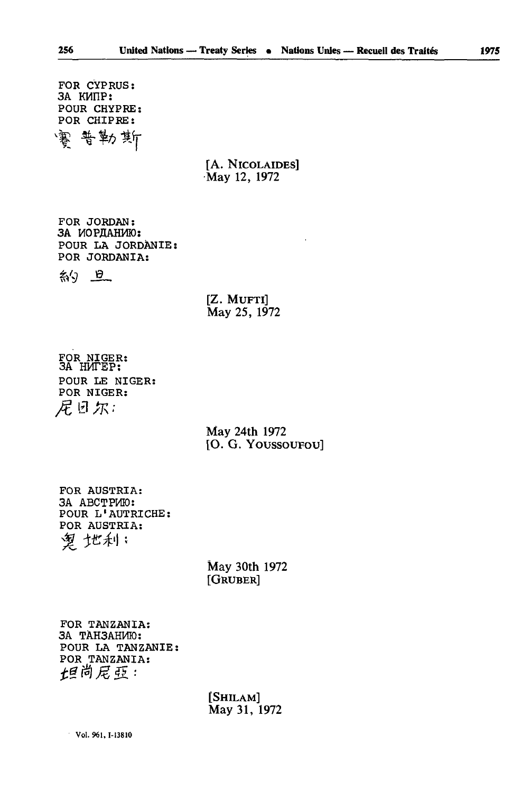FOR CYPRUS:<br>3A KMIIP: POUR CHYPRE: POR CHIPRE: 審 普勒斯

> **[A. NlCOLAIDES]** May 12, 1972

FOR JORDAN: 3A MOPflAHMK): POUR LA JORDANIE: POR JORDANIA:

名 $\sqrt{9}$ 

[Z. MUFTI] May 25, 1972

FOR NIGER: 3A HMTEP: POUR LE NIGER: POR NIGER:<br>尼日尔:

> May 24th 1972 [O. G. YOUSSOUFOU]

FOR AUSTRIA: 3A ABCTPMO: POUR L'AUTRICHE: POR AUSTRIA:<br>望 地利:

> May 30th 1972 [GRUBER]

FOR TANZANIA: 3A TAH3AHMD: POUR LA TANZANIE: POR TANZANIA:<br>但尚尼亞:

> [SHILAM] May 31, 1972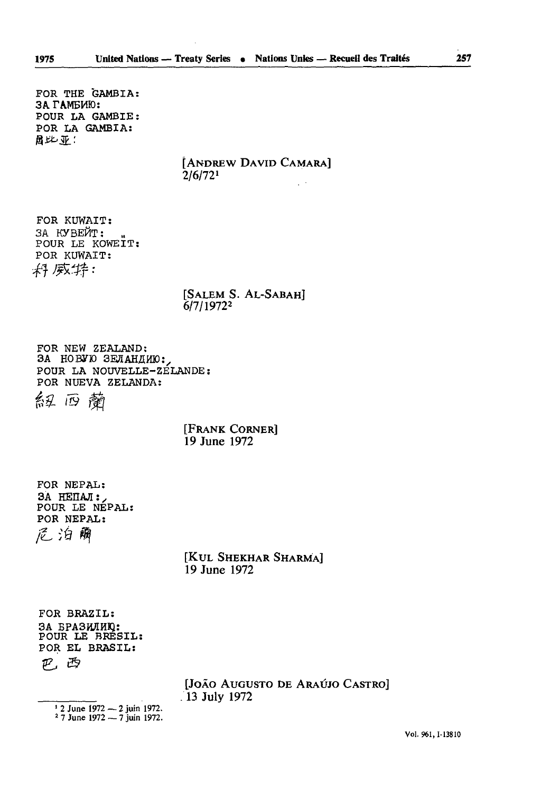FOR THE GAMBIA: ЗА ГАМБИЮ: POUR LA GAMBIE: **POR LA GAMBIA:**<br>R<sub>E</sub>LL W:

## [ANDREW DAVID CAMARA] 2/6/721

FOR KUWAIT: 3A KYBEЙT: POUR LE KOWEÏT: POR KUWAIT:<br>科威华:

### [SALEM S. AL-SABAH] 6/7/19722

FOR NEW ZEALAND: ЗА НОВУЮ ЗЕЛАНДИЮ:, POUR LA NOUVELLE-ZELANDE: POR NUEVA ZELANDA: 紐 四 藺

> [FRANK CORNER] 19 June 1972

FOR NEPAL: 3À HENAJ:, POUR LE NEPAL: POR NEPAL: 尼泊爾

> [KUL SHEKHAR SHARMÂ] 19 June 1972

FOR BRAZIL: 3A БРАЗИЛИЮ: POUR LE BRESIL: POR EL BRASIL: 巴西

> [JoÂo AUGUSTO DE ARAUJO CASTRO] 13 July 1972

1 2 June 1972 — 2 juin 1972. 2 7 June 1972 —7 juin 1972.

Vol. 961,1-13810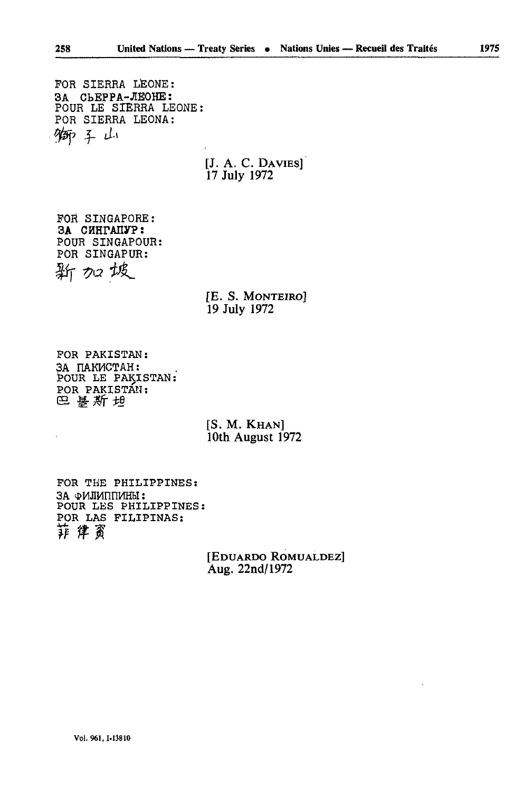POR SIERRA LEONE: 3A CLEPPA-JIEOHE : POUR LE SIERRA LEONE: POR SIERRA LEONA: (獅王山

> [J. A. C. DAVIES] 17 July 1972

POR SINGAPORE: 3A CHHPAIIVP: POUR SINGAPOUR: POR SINGAPUR: 新加坡

# **[E. S. MONTEIRO]** 19 July 1972

FOR PAKISTAN: 3A riAKMCTAH: POUR LE PAKISTAN: POR PAKISTAN: 巴基斯坦

à,

### [S. M. KHAN] 10th August 1972

FOR THE PHILIPPINES:<br>3A QUIMINUMHAI: POUR LES PHILIPPINES: POR LAS FILIPINAS:<br>菲律富

> **[EDUARDO ROMUALDEZ]** Aug. 22nd/1972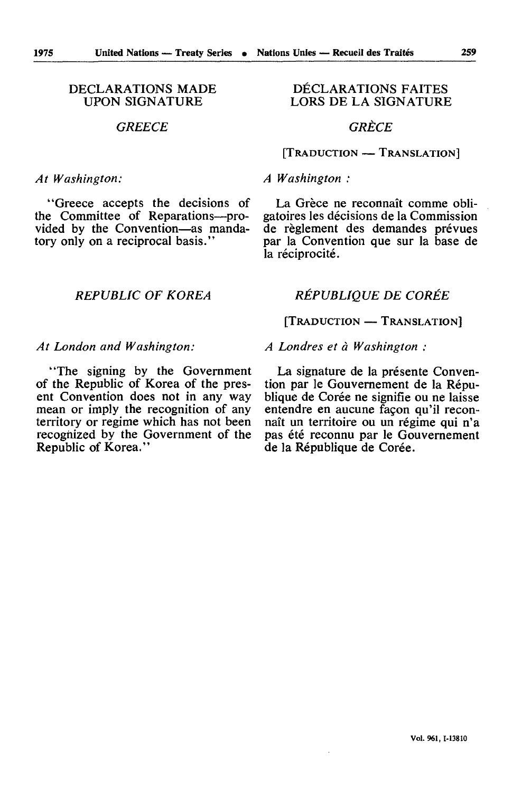# DECLARATIONS MADE UPON SIGNATURE

### *GREECE*

### *At Washington:*

"Greece accepts the decisions of the Committee of Reparations—pro vided by the Convention—as manda tory only on a reciprocal basis."

# *REPUBLIC OF KOREA*

*At London and Washington:*

"The signing by the Government of the Republic of Korea of the pres ent Convention does not in any way mean or imply the recognition of any territory or regime which has not been recognized by the Government of the Republic of Korea."

### DÉCLARATIONS FAITES LORS DE LA SIGNATURE

# *GRÈCE*

### [TRADUCTION — TRANSLATION]

### *A Washington :*

La Grèce ne reconnaît comme obli gatoires les décisions de la Commission de règlement des demandes prévues par la Convention que sur la base de la réciprocité.

# *RÉPUBLIQUE DE CORÉE*

### [TRADUCTION — TRANSLATION]

*A Londres et à Washington :*

La signature de la présente Conven tion par le Gouvernement de la Répu blique de Corée ne signifie ou ne laisse entendre en aucune façon qu'il recon naît un territoire ou un régime qui n'a pas été reconnu par le Gouvernement de la République de Corée.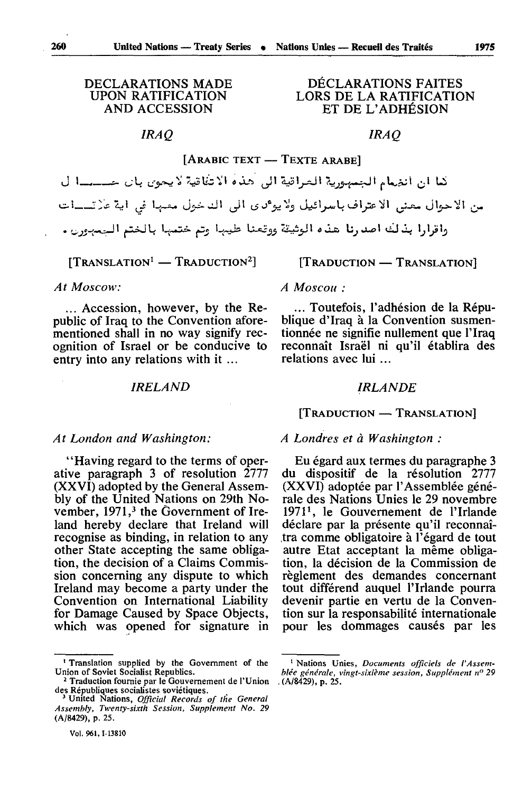### DECLARATIONS MADE UPON RATIFICATION AND ACCESSION

# *IRAQ IRAQ*

### DÉCLARATIONS FAITES LORS DE LA RATIFICATION ET DE L'ADHÉSION

[ARABIC TEXT — TEXTE ARABE]

لما ان انضام الجمهورية العراقية الى هذه الاتفاقية لايحون بال حسسها ل من الاحوال معنى الاعتراف باسرائيل ولايو°دى الى الدخول مصها في اية علاتـــات واقرارا بذلك اصدرنا هذه الوئيئة ووقعنا طيبا وتم ختميا بالختم السمبورن .

 $[T$ RANSLATION<sup>1</sup> — TRADUCTION<sup>2</sup>]

[TRADUCTION — TRANSLATION]

### *At Moscow:*

*...* Accession, however, by the Re public of Iraq to the Convention afore mentioned shall in no way signify rec ognition of Israel or be conducive to entry into any relations with it ...

#### *IRELAND*

# *A Moscou :*

*...* Toutefois, l'adhésion de la Répu blique d'Iraq à la Convention susmen tionnée ne signifie nullement que l'Iraq reconnaît Israël ni qu'il établira des relations avec lui ...

### *IRLANDE*

[TRADUCTION — TRANSLATION]

#### *At London and Washington:*

"Having regard to the terms of oper ative paragraph 3 of resolution 2777 (XXVI) adopted by the General Assem bly of the United Nations on 29th No vember,  $1971$ ,<sup>3</sup> the Government of Ireland hereby declare that Ireland will recognise as binding, in relation to any other State accepting the same obliga tion, the decision of a Claims Commis sion concerning any dispute to which Ireland may become a party under the Convention on International Liability for Damage Caused by Space Objects, which was opened for signature in

### *A Londres et à Washington :*

Eu égard aux termes du paragraphe 3 du dispositif de la résolution 2777 (XXVI) adoptée par l'Assemblée géné rale des Nations Unies le 29 novembre 1971<sup>1</sup>, le Gouvernement de l'Irlande déclare par la présente qu'il reconnaî- ,tra comme obligatoire à l'égard de tout autre Etat acceptant la même obliga tion, la décision de la Commission de règlement des demandes concernant tout différend auquel l'Irlande pourra devenir partie en vertu de la Conven tion sur la responsabilité internationale pour les dommages causés par les

<sup>1</sup> Translation supplied by the Government of the Union of Soviet Socialist Republics.

<sup>2</sup> Traduction fournie par le Gouvernement de l'Union des Républiques socialistes soviétiques. 3 United Nations, *Officiai Records of the General* 

*Assembly, Twenty-sixth Session, Supplement No. 29*  (A/8429), p. 25.

<sup>1</sup> Nations Unies, *Documents officiels de l'Assem blée générale, vingt-sixième session, Supplément n" 29 ,* (A/8429), p. 25.